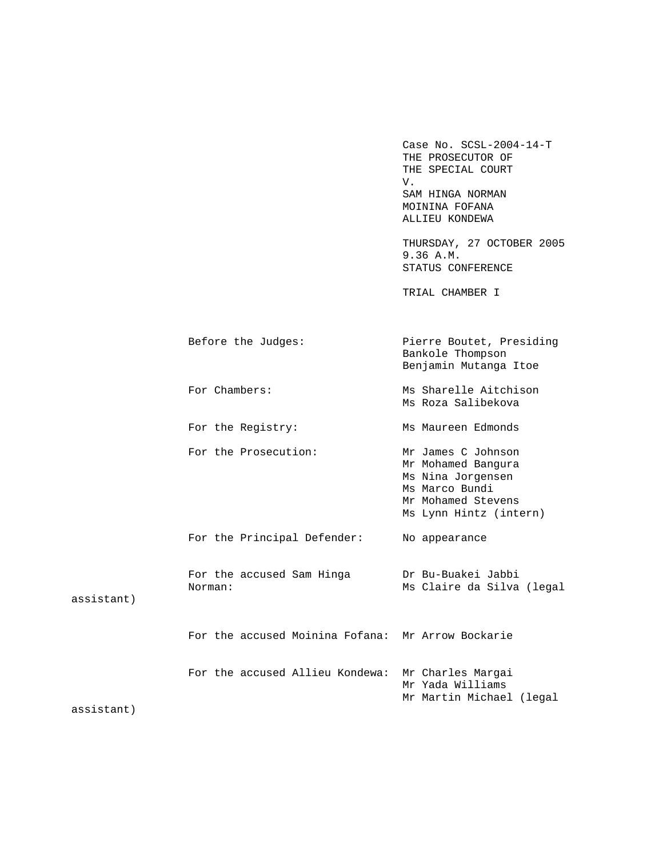THE PROSECUTOR OF THE SPECIAL COURT<br>V. V. SAM HINGA NORMAN MOININA FOFANA ALLIEU KONDEWA THURSDAY, 27 OCTOBER 2005 9.36 A.M. STATUS CONFERENCE TRIAL CHAMBER I Before the Judges: Pierre Boutet, Presiding Bankole Thompson Benjamin Mutanga Itoe For Chambers: Ms Sharelle Aitchison Ms Roza Salibekova For the Registry: Ms Maureen Edmonds For the Prosecution: Mr James C Johnson Mr Mohamed Bangura Ms Nina Jorgensen Ms Marco Bundi Mr Mohamed Stevens Ms Lynn Hintz (intern) For the Principal Defender: No appearance For the accused Sam Hinga Dr Bu-Buakei Jabbi Norman: Ms Claire da Silva (legal assistant) For the accused Moinina Fofana: Mr Arrow Bockarie For the accused Allieu Kondewa: Mr Charles Margai Mr Yada Williams Mr Martin Michael (legal assistant)

Case No. SCSL-2004-14-T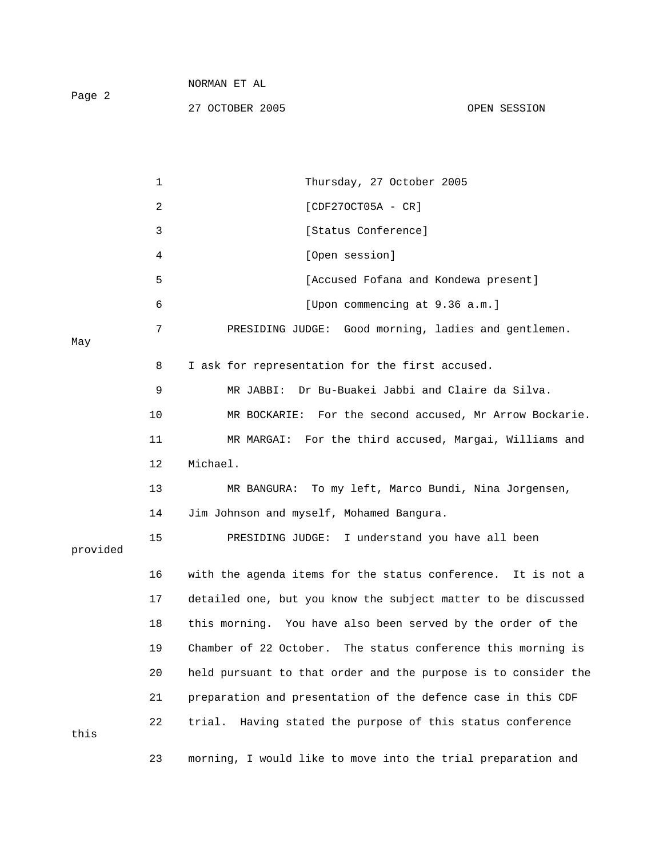| Page 2   |              | 27 OCTOBER 2005                                                | OPEN SESSION |
|----------|--------------|----------------------------------------------------------------|--------------|
|          |              |                                                                |              |
|          | $\mathbf{1}$ | Thursday, 27 October 2005                                      |              |
|          | 2            | $[CDF270CT05A - CR]$                                           |              |
|          | 3            | [Status Conference]                                            |              |
|          | 4            | [Open session]                                                 |              |
|          | 5            | [Accused Fofana and Kondewa present]                           |              |
|          | 6            | [Upon commencing at 9.36 a.m.]                                 |              |
| May      | 7            | PRESIDING JUDGE: Good morning, ladies and gentlemen.           |              |
|          | 8            | I ask for representation for the first accused.                |              |
|          | 9            | Dr Bu-Buakei Jabbi and Claire da Silva.<br>MR JABBI:           |              |
|          | 10           | MR BOCKARIE: For the second accused, Mr Arrow Bockarie.        |              |
|          | 11           | MR MARGAI: For the third accused, Margai, Williams and         |              |
|          | 12           | Michael.                                                       |              |
|          | 13           | To my left, Marco Bundi, Nina Jorgensen,<br>MR BANGURA:        |              |
|          | 14           | Jim Johnson and myself, Mohamed Bangura.                       |              |
| provided | 15           | PRESIDING JUDGE: I understand you have all been                |              |
|          | 16           | with the agenda items for the status conference. It is not a   |              |
|          | 17           | detailed one, but you know the subject matter to be discussed  |              |
|          | 18           | this morning. You have also been served by the order of the    |              |
|          | 19           | Chamber of 22 October. The status conference this morning is   |              |
|          | 20           | held pursuant to that order and the purpose is to consider the |              |
|          | 21           | preparation and presentation of the defence case in this CDF   |              |
| this     | 22           | Having stated the purpose of this status conference<br>trial.  |              |
|          | 23           | morning, I would like to move into the trial preparation and   |              |

NORMAN ET AL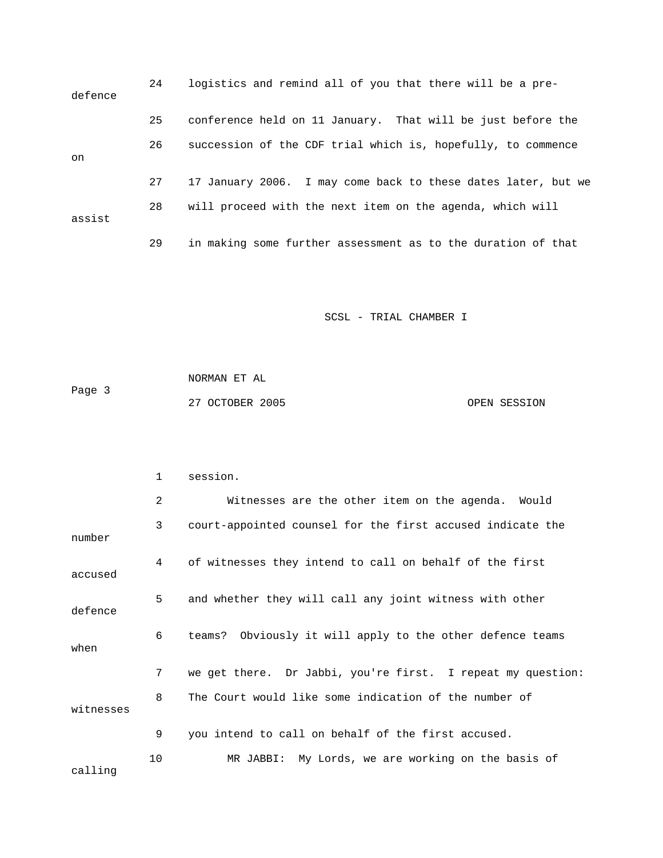| defence | 24 | logistics and remind all of you that there will be a pre-     |
|---------|----|---------------------------------------------------------------|
|         | 25 | conference held on 11 January. That will be just before the   |
| on      | 26 | succession of the CDF trial which is, hopefully, to commence  |
|         | 27 | 17 January 2006. I may come back to these dates later, but we |
| assist  | 28 | will proceed with the next item on the agenda, which will     |
|         | 29 | in making some further assessment as to the duration of that  |

| Page 3 | NORMAN ET AL    |              |
|--------|-----------------|--------------|
|        | 27 OCTOBER 2005 | OPEN SESSION |

|           | 1              | session.                                                    |
|-----------|----------------|-------------------------------------------------------------|
|           | $\overline{a}$ | Witnesses are the other item on the agenda. Would           |
| number    | 3              | court-appointed counsel for the first accused indicate the  |
| accused   | 4              | of witnesses they intend to call on behalf of the first     |
| defence   | 5              | and whether they will call any joint witness with other     |
| when      | 6              | teams? Obviously it will apply to the other defence teams   |
|           | 7              | we get there. Dr Jabbi, you're first. I repeat my question: |
| witnesses | 8              | The Court would like some indication of the number of       |
|           | 9              | you intend to call on behalf of the first accused.          |
| calling   | 10             | MR JABBI: My Lords, we are working on the basis of          |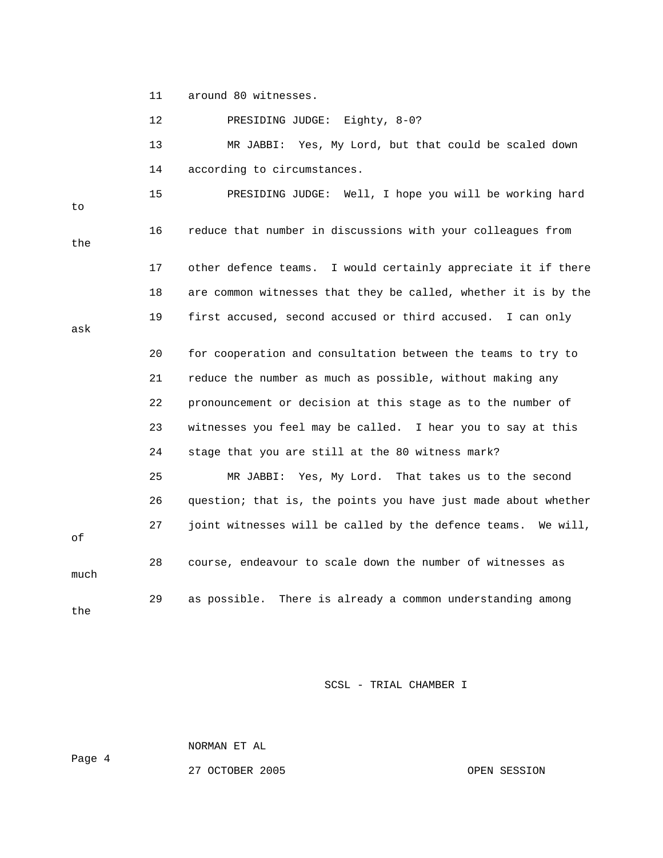11 around 80 witnesses.

 12 PRESIDING JUDGE: Eighty, 8-0? 13 MR JABBI: Yes, My Lord, but that could be scaled down 14 according to circumstances. 15 PRESIDING JUDGE: Well, I hope you will be working hard to 16 reduce that number in discussions with your colleagues from the 17 other defence teams. I would certainly appreciate it if there 18 are common witnesses that they be called, whether it is by the 19 first accused, second accused or third accused. I can only ask 20 for cooperation and consultation between the teams to try to 21 reduce the number as much as possible, without making any 22 pronouncement or decision at this stage as to the number of 23 witnesses you feel may be called. I hear you to say at this 24 stage that you are still at the 80 witness mark? 25 MR JABBI: Yes, My Lord. That takes us to the second 26 question; that is, the points you have just made about whether 27 joint witnesses will be called by the defence teams. We will, of 28 course, endeavour to scale down the number of witnesses as much 29 as possible. There is already a common understanding among the

SCSL - TRIAL CHAMBER I

NORMAN ET AL

Page 4

27 OCTOBER 2005 OPEN SESSION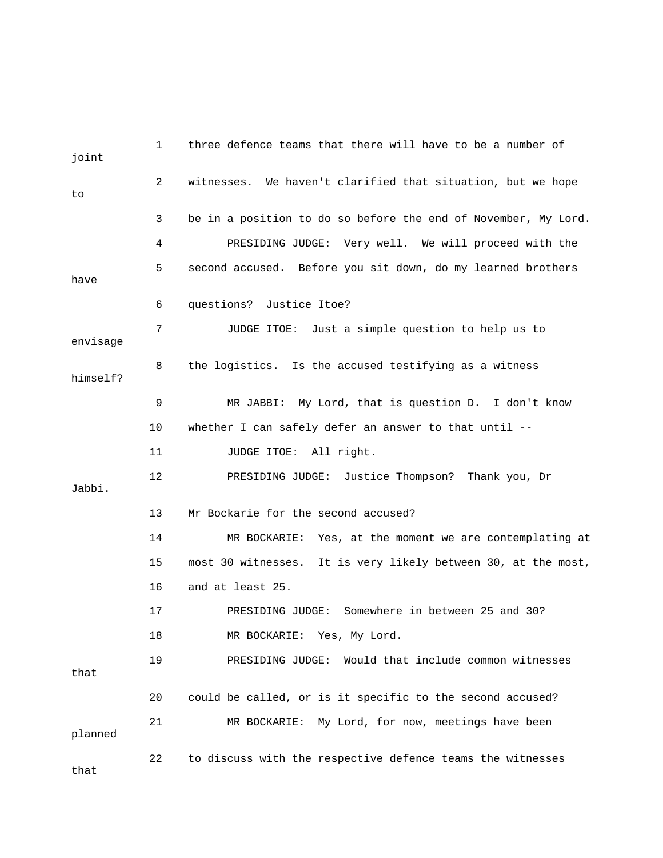| joint    | 1              | three defence teams that there will have to be a number of     |
|----------|----------------|----------------------------------------------------------------|
| to       | $\overline{2}$ | witnesses. We haven't clarified that situation, but we hope    |
|          | 3              | be in a position to do so before the end of November, My Lord. |
|          | 4              | PRESIDING JUDGE: Very well. We will proceed with the           |
| have     | 5              | second accused. Before you sit down, do my learned brothers    |
|          | 6              | questions?<br>Justice Itoe?                                    |
| envisage | 7              | JUDGE ITOE: Just a simple question to help us to               |
| himself? | 8              | the logistics. Is the accused testifying as a witness          |
|          | 9              | MR JABBI: My Lord, that is question D. I don't know            |
|          | 10             | whether I can safely defer an answer to that until --          |
|          | 11             | JUDGE ITOE: All right.                                         |
| Jabbi.   | 12             | PRESIDING JUDGE: Justice Thompson? Thank you, Dr               |
|          | 13             | Mr Bockarie for the second accused?                            |
|          | 14             | MR BOCKARIE: Yes, at the moment we are contemplating at        |
|          | 15             | most 30 witnesses. It is very likely between 30, at the most,  |
|          | 16             | and at least 25.                                               |
|          | 17             | Somewhere in between 25 and 30?<br>PRESIDING JUDGE:            |
|          | 18             | Yes, My Lord.<br>MR BOCKARIE:                                  |
| that     | 19             | Would that include common witnesses<br>PRESIDING JUDGE:        |
|          | 20             | could be called, or is it specific to the second accused?      |
| planned  | 21             | My Lord, for now, meetings have been<br>MR BOCKARIE:           |
| that     | 22             | to discuss with the respective defence teams the witnesses     |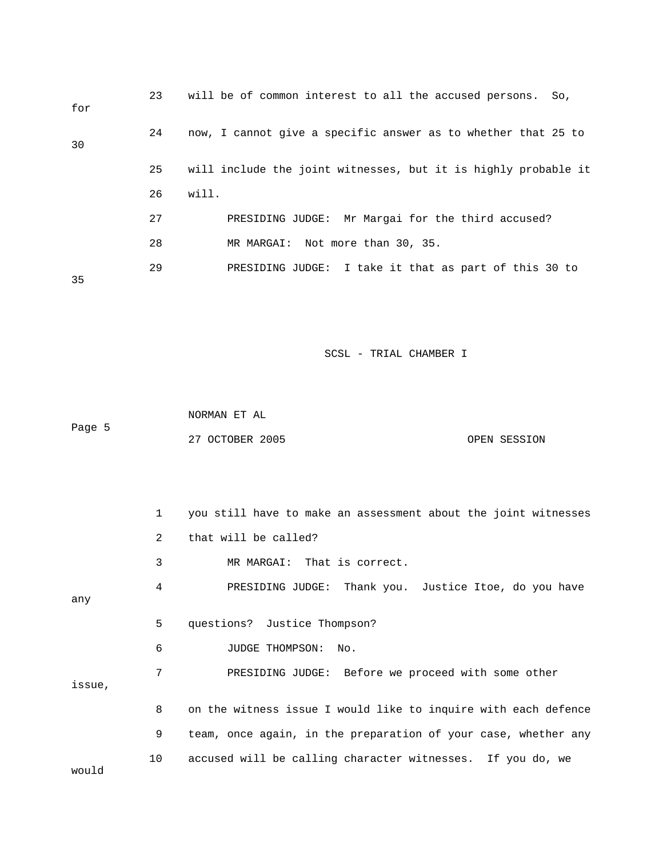| for | 23 | will be of common interest to all the accused persons. So,     |
|-----|----|----------------------------------------------------------------|
| 30  | 24 | now, I cannot give a specific answer as to whether that 25 to  |
|     | 25 | will include the joint witnesses, but it is highly probable it |
|     | 26 | will.                                                          |
|     | 27 | PRESIDING JUDGE: Mr Margai for the third accused?              |
|     | 28 | MR MARGAI: Not more than 30, 35.                               |
| 35  | 29 | PRESIDING JUDGE: I take it that as part of this 30 to          |

 NORMAN ET AL Page 5 27 OCTOBER 2005 OPEN SESSION

 1 you still have to make an assessment about the joint witnesses 2 that will be called? 3 MR MARGAI: That is correct. 4 PRESIDING JUDGE: Thank you. Justice Itoe, do you have any 5 questions? Justice Thompson? 6 JUDGE THOMPSON: No. 7 PRESIDING JUDGE: Before we proceed with some other issue, 8 on the witness issue I would like to inquire with each defence 9 team, once again, in the preparation of your case, whether any 10 accused will be calling character witnesses. If you do, we would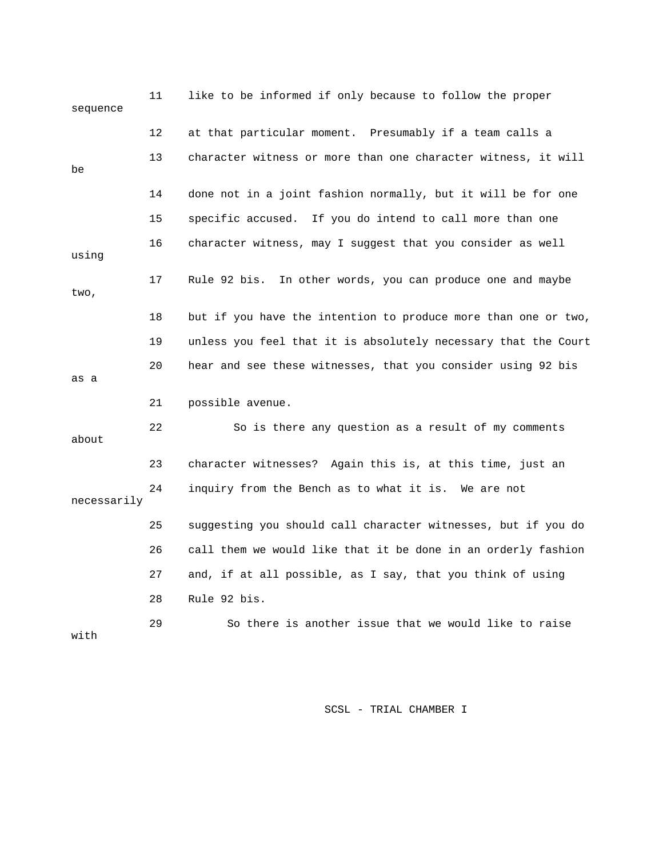| sequence    | 11      | like to be informed if only because to follow the proper       |
|-------------|---------|----------------------------------------------------------------|
|             | $12 \,$ | at that particular moment. Presumably if a team calls a        |
| be          | 13      | character witness or more than one character witness, it will  |
|             | 14      | done not in a joint fashion normally, but it will be for one   |
|             | 15      | specific accused. If you do intend to call more than one       |
| using       | 16      | character witness, may I suggest that you consider as well     |
| two,        | 17      | Rule 92 bis.<br>In other words, you can produce one and maybe  |
|             | 18      | but if you have the intention to produce more than one or two, |
|             | 19      | unless you feel that it is absolutely necessary that the Court |
| as a        | 20      | hear and see these witnesses, that you consider using 92 bis   |
|             | 21      | possible avenue.                                               |
| about       | 22      | So is there any question as a result of my comments            |
|             | 23      | character witnesses? Again this is, at this time, just an      |
| necessarily | 24      | inquiry from the Bench as to what it is. We are not            |
|             | 25      | suggesting you should call character witnesses, but if you do  |
|             | 26      | call them we would like that it be done in an orderly fashion  |
|             | 27      | and, if at all possible, as I say, that you think of using     |
|             | 28      | Rule 92 bis.                                                   |
| with        | 29      | So there is another issue that we would like to raise          |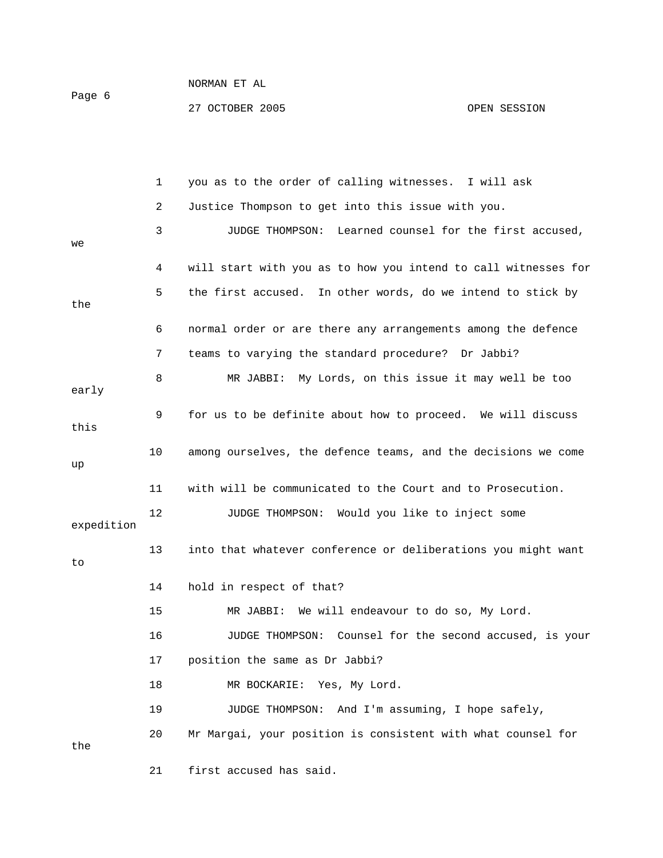### NORMAN ET AL Page 6 27 OCTOBER 2005 CPEN SESSION

|            | 1  | you as to the order of calling witnesses. I will ask           |
|------------|----|----------------------------------------------------------------|
|            | 2  | Justice Thompson to get into this issue with you.              |
| we         | 3  | JUDGE THOMPSON: Learned counsel for the first accused,         |
|            | 4  | will start with you as to how you intend to call witnesses for |
| the        | 5  | the first accused. In other words, do we intend to stick by    |
|            | 6  | normal order or are there any arrangements among the defence   |
|            | 7  | teams to varying the standard procedure? Dr Jabbi?             |
| early      | 8  | MR JABBI: My Lords, on this issue it may well be too           |
| this       | 9  | for us to be definite about how to proceed. We will discuss    |
| up         | 10 | among ourselves, the defence teams, and the decisions we come  |
|            | 11 | with will be communicated to the Court and to Prosecution.     |
| expedition | 12 | JUDGE THOMPSON: Would you like to inject some                  |
| to         | 13 | into that whatever conference or deliberations you might want  |
|            | 14 | hold in respect of that?                                       |
|            | 15 | MR JABBI: We will endeavour to do so, My Lord.                 |
|            | 16 | JUDGE THOMPSON: Counsel for the second accused, is your        |
|            | 17 | position the same as Dr Jabbi?                                 |
|            | 18 | MR BOCKARIE: Yes, My Lord.                                     |
|            | 19 | And I'm assuming, I hope safely,<br><b>JUDGE THOMPSON:</b>     |
| the        | 20 | Mr Margai, your position is consistent with what counsel for   |
|            | 21 | first accused has said.                                        |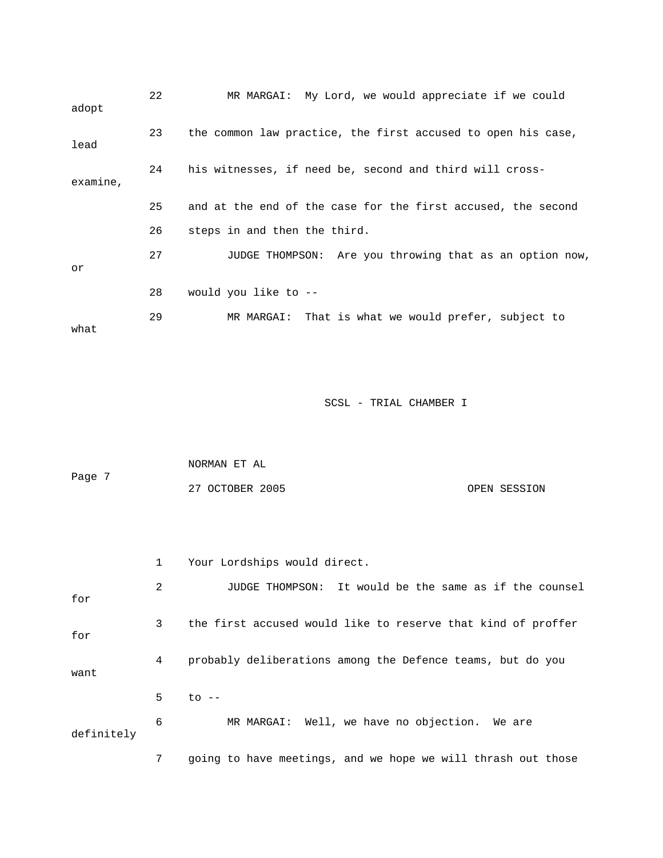| adopt    | 22 | MR MARGAI: My Lord, we would appreciate if we could          |
|----------|----|--------------------------------------------------------------|
| lead     | 23 | the common law practice, the first accused to open his case, |
| examine, | 24 | his witnesses, if need be, second and third will cross-      |
|          | 25 | and at the end of the case for the first accused, the second |
|          | 26 | steps in and then the third.                                 |
| or       | 27 | JUDGE THOMPSON: Are you throwing that as an option now,      |
|          | 28 | would you like to --                                         |
| what     | 29 | MR MARGAI: That is what we would prefer, subject to          |

| Page 7 | NORMAN ET AL    |              |
|--------|-----------------|--------------|
|        | 27 OCTOBER 2005 | OPEN SESSION |

|            | $\mathbf{1}$ | Your Lordships would direct.                                 |  |  |
|------------|--------------|--------------------------------------------------------------|--|--|
| for        | 2            | JUDGE THOMPSON: It would be the same as if the counsel       |  |  |
| for        | $\mathbf{3}$ | the first accused would like to reserve that kind of proffer |  |  |
| want       | 4            | probably deliberations among the Defence teams, but do you   |  |  |
|            | 5            | $\overline{c}$ --                                            |  |  |
| definitely | 6            | MR MARGAI: Well, we have no objection. We are                |  |  |

7 going to have meetings, and we hope we will thrash out those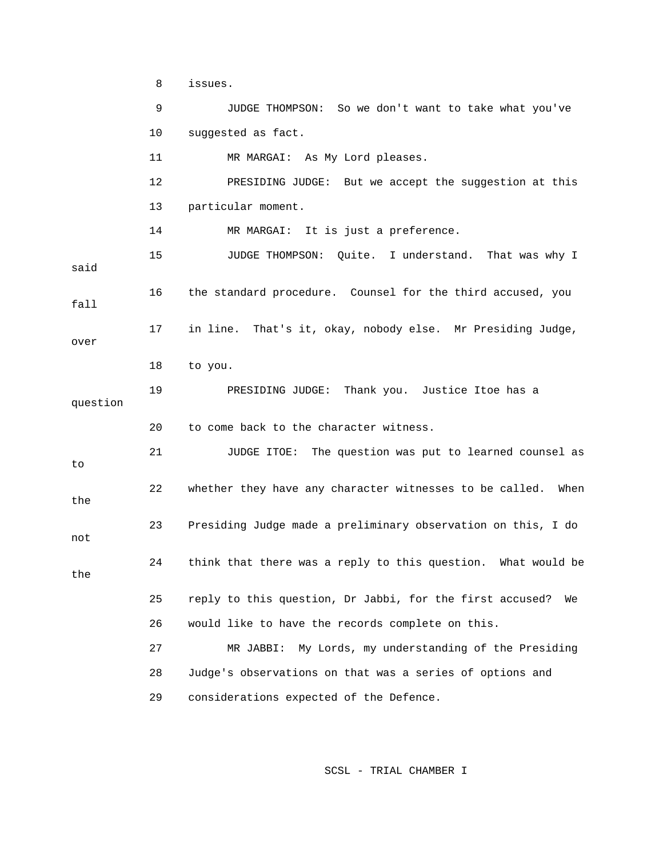8 issues. 9 JUDGE THOMPSON: So we don't want to take what you've 10 suggested as fact. 11 MR MARGAI: As My Lord pleases. 12 PRESIDING JUDGE: But we accept the suggestion at this 13 particular moment. 14 MR MARGAI: It is just a preference. 15 JUDGE THOMPSON: Quite. I understand. That was why I said 16 the standard procedure. Counsel for the third accused, you fall 17 in line. That's it, okay, nobody else. Mr Presiding Judge, over 18 to you. 19 PRESIDING JUDGE: Thank you. Justice Itoe has a question 20 to come back to the character witness. 21 JUDGE ITOE: The question was put to learned counsel as to 22 whether they have any character witnesses to be called. When the 23 Presiding Judge made a preliminary observation on this, I do not 24 think that there was a reply to this question. What would be the 25 reply to this question, Dr Jabbi, for the first accused? We 26 would like to have the records complete on this. 27 MR JABBI: My Lords, my understanding of the Presiding 28 Judge's observations on that was a series of options and 29 considerations expected of the Defence.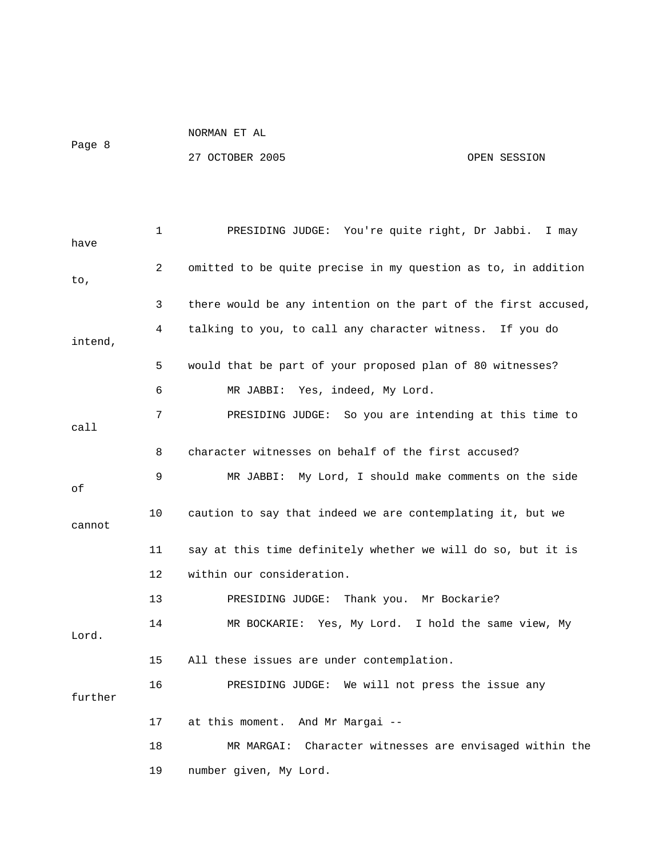|        | NUKMAN LI AL |  |  |
|--------|--------------|--|--|
| Page 8 |              |  |  |

 $M$ 

27 OCTOBER 2005 OPEN SESSION

 1 PRESIDING JUDGE: You're quite right, Dr Jabbi. I may have 2 omitted to be quite precise in my question as to, in addition to, 3 there would be any intention on the part of the first accused, 4 talking to you, to call any character witness. If you do intend, 5 would that be part of your proposed plan of 80 witnesses? 6 MR JABBI: Yes, indeed, My Lord. 7 PRESIDING JUDGE: So you are intending at this time to call 8 character witnesses on behalf of the first accused? 9 MR JABBI: My Lord, I should make comments on the side of 10 caution to say that indeed we are contemplating it, but we cannot 11 say at this time definitely whether we will do so, but it is 12 within our consideration. 13 PRESIDING JUDGE: Thank you. Mr Bockarie? 14 MR BOCKARIE: Yes, My Lord. I hold the same view, My Lord. 15 All these issues are under contemplation. 16 PRESIDING JUDGE: We will not press the issue any further

 18 MR MARGAI: Character witnesses are envisaged within the 19 number given, My Lord.

17 at this moment. And Mr Margai --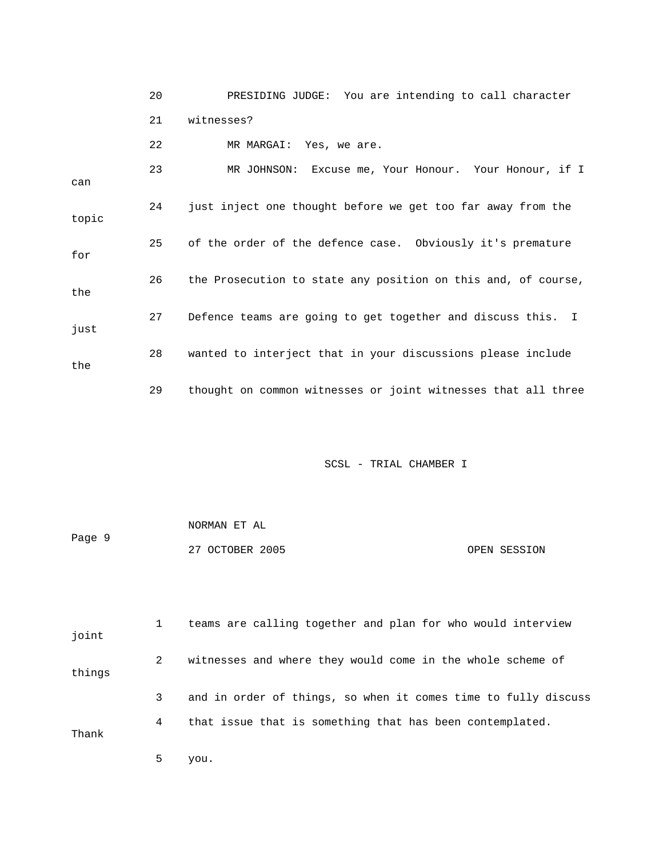|       | 20 | PRESIDING JUDGE: You are intending to call character          |
|-------|----|---------------------------------------------------------------|
|       | 21 | witnesses?                                                    |
|       | 22 | MR MARGAI: Yes, we are.                                       |
| can   | 23 | MR JOHNSON: Excuse me, Your Honour. Your Honour, if I         |
| topic | 24 | just inject one thought before we get too far away from the   |
| for   | 25 | of the order of the defence case. Obviously it's premature    |
| the   | 26 | the Prosecution to state any position on this and, of course, |
| just  | 27 | Defence teams are going to get together and discuss this. I   |
| the   | 28 | wanted to interject that in your discussions please include   |
|       | 29 | thought on common witnesses or joint witnesses that all three |

| Page 9 | NORMAN ET AL    |              |
|--------|-----------------|--------------|
|        | 27 OCTOBER 2005 | OPEN SESSION |

 1 teams are calling together and plan for who would interview joint 2 witnesses and where they would come in the whole scheme of things 3 and in order of things, so when it comes time to fully discuss 4 that issue that is something that has been contemplated. Thank

5 you.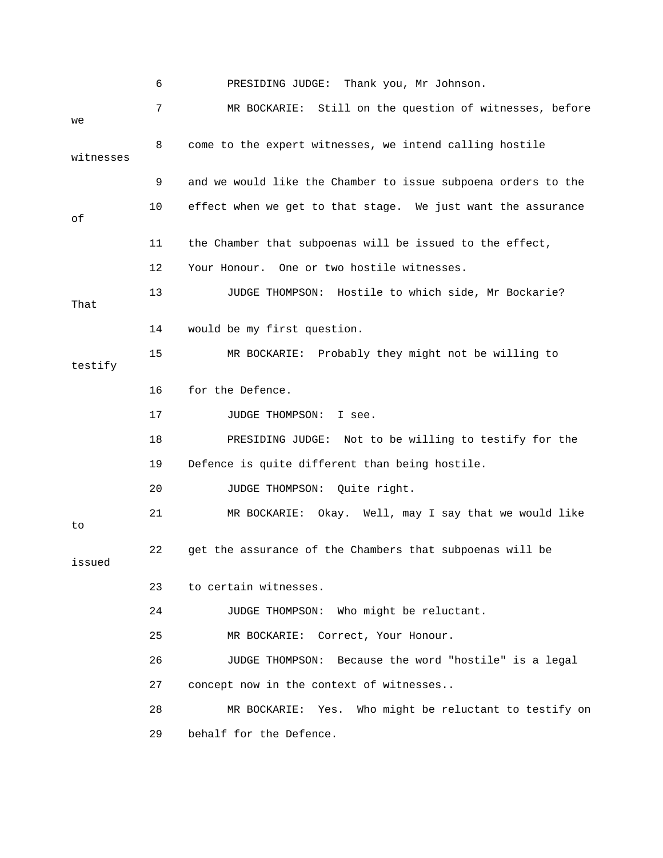|           | 6  | PRESIDING JUDGE: Thank you, Mr Johnson.                       |
|-----------|----|---------------------------------------------------------------|
| we        | 7  | MR BOCKARIE:<br>Still on the question of witnesses, before    |
| witnesses | 8  | come to the expert witnesses, we intend calling hostile       |
|           | 9  | and we would like the Chamber to issue subpoena orders to the |
| οf        | 10 | effect when we get to that stage. We just want the assurance  |
|           | 11 | the Chamber that subpoenas will be issued to the effect,      |
|           | 12 | One or two hostile witnesses.<br>Your Honour.                 |
| That      | 13 | JUDGE THOMPSON: Hostile to which side, Mr Bockarie?           |
|           | 14 | would be my first question.                                   |
| testify   | 15 | MR BOCKARIE: Probably they might not be willing to            |
|           | 16 | for the Defence.                                              |
|           | 17 | JUDGE THOMPSON:<br>I see.                                     |
|           | 18 | PRESIDING JUDGE: Not to be willing to testify for the         |
|           | 19 | Defence is quite different than being hostile.                |
|           | 20 | JUDGE THOMPSON:<br>Quite right.                               |
| to        | 21 | Okay. Well, may I say that we would like<br>MR BOCKARIE:      |
| issued    | 22 | get the assurance of the Chambers that subpoenas will be      |
|           | 23 | to certain witnesses.                                         |
|           | 24 | JUDGE THOMPSON: Who might be reluctant.                       |
|           | 25 | Correct, Your Honour.<br>MR BOCKARIE:                         |
|           | 26 | JUDGE THOMPSON: Because the word "hostile" is a legal         |
|           | 27 | concept now in the context of witnesses                       |
|           | 28 | Who might be reluctant to testify on<br>MR BOCKARIE:<br>Yes.  |
|           | 29 | behalf for the Defence.                                       |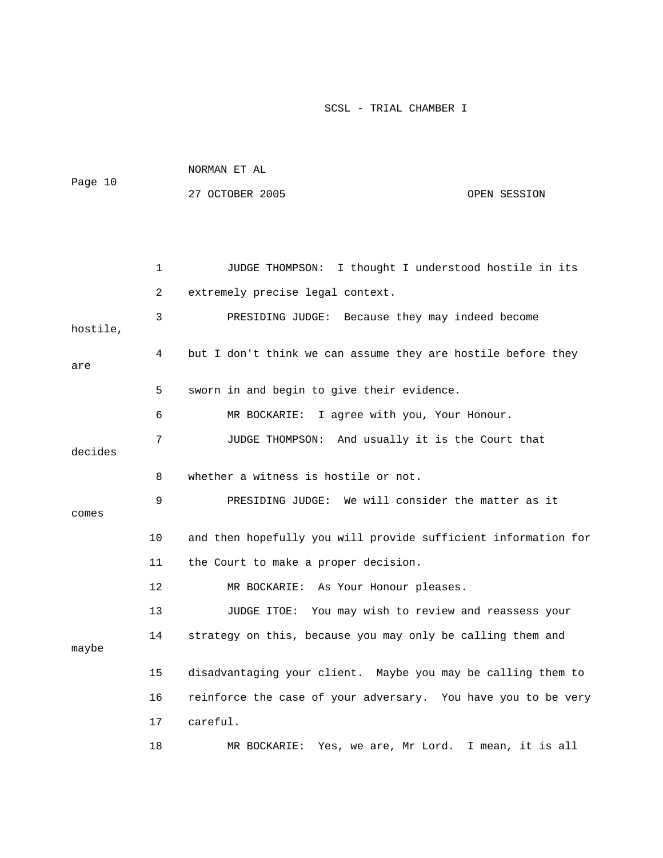| Page 10  |              | NORMAN ET AL                                               |                                                                |
|----------|--------------|------------------------------------------------------------|----------------------------------------------------------------|
|          |              | 27 OCTOBER 2005                                            | OPEN SESSION                                                   |
|          |              |                                                            |                                                                |
|          |              |                                                            |                                                                |
|          | $\mathbf{1}$ | JUDGE THOMPSON:                                            | I thought I understood hostile in its                          |
|          | 2            | extremely precise legal context.                           |                                                                |
| hostile, | 3            |                                                            | PRESIDING JUDGE: Because they may indeed become                |
| are      | 4            |                                                            | but I don't think we can assume they are hostile before they   |
|          | 5            | sworn in and begin to give their evidence.                 |                                                                |
|          | 6            | MR BOCKARIE: I agree with you, Your Honour.                |                                                                |
| decides  | 7            |                                                            | JUDGE THOMPSON: And usually it is the Court that               |
|          | 8            | whether a witness is hostile or not.                       |                                                                |
| comes    | 9            |                                                            | PRESIDING JUDGE: We will consider the matter as it             |
|          | 10           |                                                            | and then hopefully you will provide sufficient information for |
|          | 11           | the Court to make a proper decision.                       |                                                                |
|          | 12           | MR BOCKARIE: As Your Honour pleases.                       |                                                                |
|          | 13           |                                                            | JUDGE ITOE: You may wish to review and reassess your           |
| maybe    | 14           | strategy on this, because you may only be calling them and |                                                                |

 15 disadvantaging your client. Maybe you may be calling them to 16 reinforce the case of your adversary. You have you to be very 17 careful.

18 MR BOCKARIE: Yes, we are, Mr Lord. I mean, it is all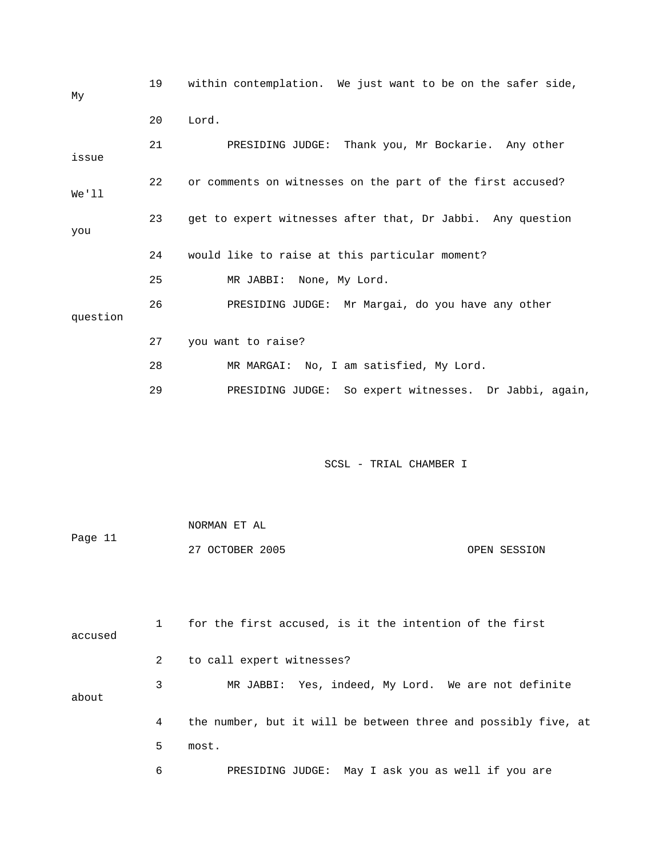| My       | 19 | within contemplation. We just want to be on the safer side, |
|----------|----|-------------------------------------------------------------|
|          | 20 | Lord.                                                       |
| issue    | 21 | PRESIDING JUDGE: Thank you, Mr Bockarie. Any other          |
| We'll    | 22 | or comments on witnesses on the part of the first accused?  |
| you      | 23 | get to expert witnesses after that, Dr Jabbi. Any question  |
|          | 24 | would like to raise at this particular moment?              |
|          | 25 | MR JABBI: None, My Lord.                                    |
| question | 26 | PRESIDING JUDGE: Mr Margai, do you have any other           |
|          | 27 | you want to raise?                                          |
|          | 28 | MR MARGAI: No, I am satisfied, My Lord.                     |
|          | 29 | PRESIDING JUDGE: So expert witnesses. Dr Jabbi, again,      |
|          |    |                                                             |
|          |    | SCSL - TRIAL CHAMBER I                                      |

|         | NORMAN ET AL    |              |
|---------|-----------------|--------------|
| Page 11 |                 |              |
|         | 27 OCTOBER 2005 | OPEN SESSION |

 1 for the first accused, is it the intention of the first accused 2 to call expert witnesses? 3 MR JABBI: Yes, indeed, My Lord. We are not definite about 4 the number, but it will be between three and possibly five, at 5 most. 6 PRESIDING JUDGE: May I ask you as well if you are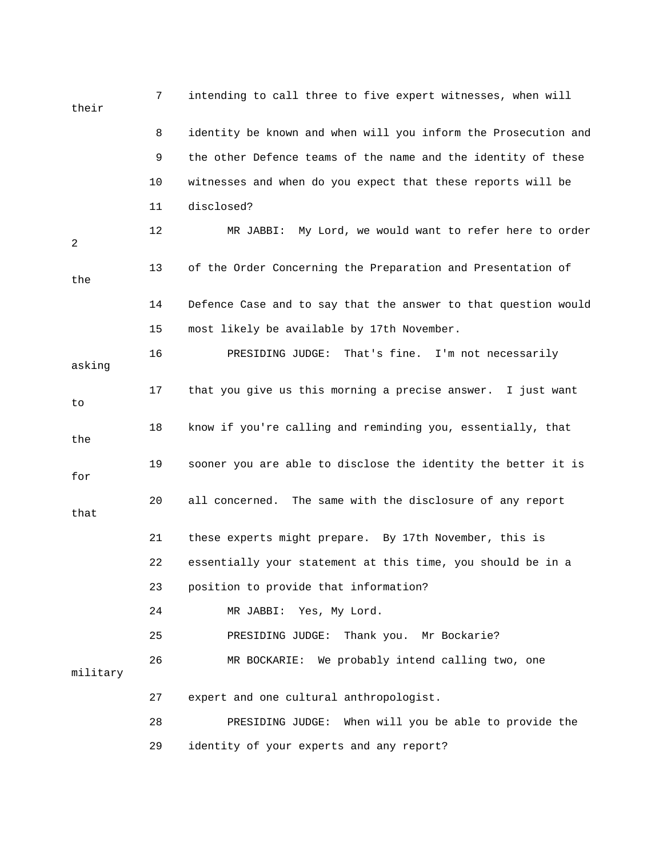| their    | 7  | intending to call three to five expert witnesses, when will    |
|----------|----|----------------------------------------------------------------|
|          | 8  | identity be known and when will you inform the Prosecution and |
|          | 9  | the other Defence teams of the name and the identity of these  |
|          | 10 | witnesses and when do you expect that these reports will be    |
|          | 11 | disclosed?                                                     |
| 2        | 12 | MR JABBI: My Lord, we would want to refer here to order        |
| the      | 13 | of the Order Concerning the Preparation and Presentation of    |
|          | 14 | Defence Case and to say that the answer to that question would |
|          | 15 | most likely be available by 17th November.                     |
| asking   | 16 | That's fine. I'm not necessarily<br>PRESIDING JUDGE:           |
| to       | 17 | that you give us this morning a precise answer. I just want    |
| the      | 18 | know if you're calling and reminding you, essentially, that    |
| for      | 19 | sooner you are able to disclose the identity the better it is  |
| that     | 20 | The same with the disclosure of any report<br>all concerned.   |
|          | 21 | these experts might prepare. By 17th November, this is         |
|          | 22 | essentially your statement at this time, you should be in a    |
|          | 23 | position to provide that information?                          |
|          | 24 | Yes, My Lord.<br>MR JABBI:                                     |
|          | 25 | Thank you. Mr Bockarie?<br>PRESIDING JUDGE:                    |
| military | 26 | MR BOCKARIE: We probably intend calling two, one               |
|          | 27 | expert and one cultural anthropologist.                        |
|          | 28 | PRESIDING JUDGE:<br>When will you be able to provide the       |
|          | 29 | identity of your experts and any report?                       |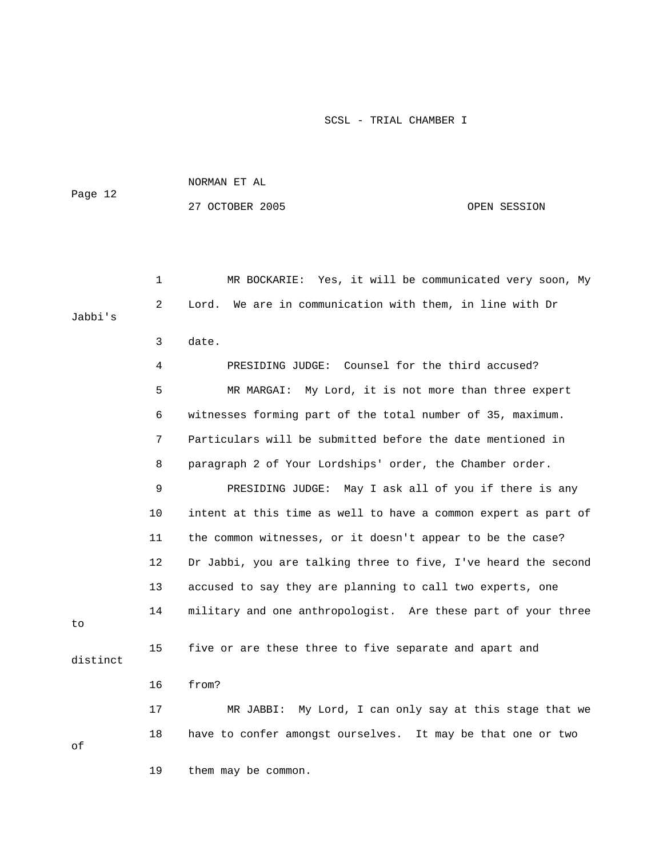| Page 12 | NORMAN ET AL    |              |
|---------|-----------------|--------------|
|         | 27 OCTOBER 2005 | OPEN SESSION |

 1 MR BOCKARIE: Yes, it will be communicated very soon, My 2 Lord. We are in communication with them, in line with Dr Jabbi's

3 date.

19 them may be common.

 4 PRESIDING JUDGE: Counsel for the third accused? 5 MR MARGAI: My Lord, it is not more than three expert 6 witnesses forming part of the total number of 35, maximum. 7 Particulars will be submitted before the date mentioned in 8 paragraph 2 of Your Lordships' order, the Chamber order. 9 PRESIDING JUDGE: May I ask all of you if there is any 10 intent at this time as well to have a common expert as part of 11 the common witnesses, or it doesn't appear to be the case? 12 Dr Jabbi, you are talking three to five, I've heard the second 13 accused to say they are planning to call two experts, one 14 military and one anthropologist. Are these part of your three 15 five or are these three to five separate and apart and distinct 16 from? 17 MR JABBI: My Lord, I can only say at this stage that we 18 have to confer amongst ourselves. It may be that one or two

of

to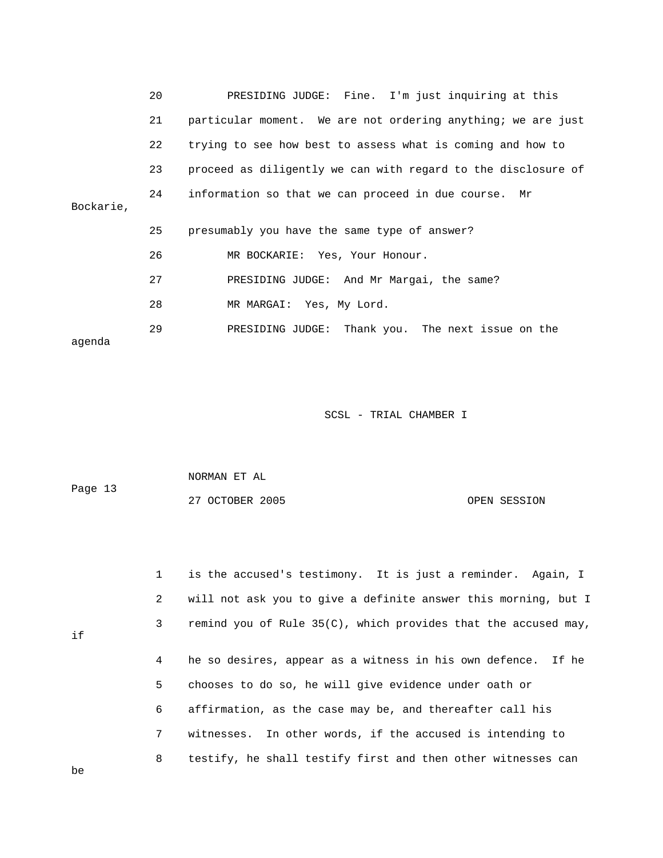|           | 20 | PRESIDING JUDGE: Fine. I'm just inquiring at this             |
|-----------|----|---------------------------------------------------------------|
|           | 21 | particular moment. We are not ordering anything; we are just  |
|           | 22 | trying to see how best to assess what is coming and how to    |
|           | 23 | proceed as diligently we can with regard to the disclosure of |
| Bockarie, | 24 | information so that we can proceed in due course. Mr          |
|           | 25 | presumably you have the same type of answer?                  |
|           | 26 | MR BOCKARIE: Yes, Your Honour.                                |
|           | 27 | PRESIDING JUDGE: And Mr Margai, the same?                     |
|           | 28 | MR MARGAI: Yes, My Lord.                                      |
| aqenda    | 29 | PRESIDING JUDGE: Thank you. The next issue on the             |

| Page 13 | NORMAN ET AL    |              |
|---------|-----------------|--------------|
|         | 27 OCTOBER 2005 | OPEN SESSION |

|    | $1 \quad$ | is the accused's testimony. It is just a reminder. Again, I       |
|----|-----------|-------------------------------------------------------------------|
|    | 2         | will not ask you to give a definite answer this morning, but I    |
| if | 3         | remind you of Rule $35(C)$ , which provides that the accused may, |
|    | 4         | he so desires, appear as a witness in his own defence. If he      |
|    | 5         | chooses to do so, he will give evidence under oath or             |
|    | 6         | affirmation, as the case may be, and thereafter call his          |
|    | 7         | witnesses. In other words, if the accused is intending to         |

8 testify, he shall testify first and then other witnesses can

be

if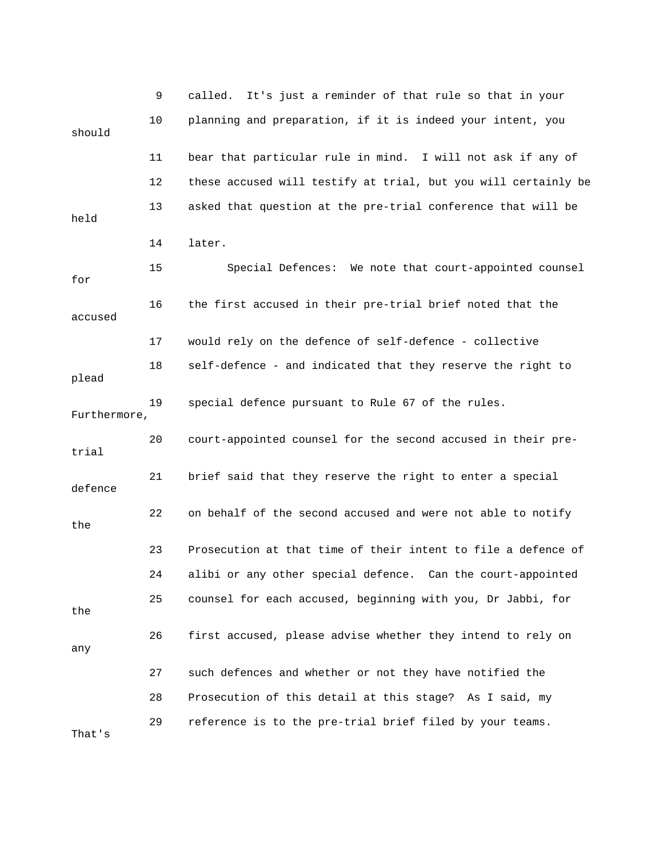|              | 9  | It's just a reminder of that rule so that in your<br>called.   |
|--------------|----|----------------------------------------------------------------|
| should       | 10 | planning and preparation, if it is indeed your intent, you     |
|              | 11 | bear that particular rule in mind. I will not ask if any of    |
|              | 12 | these accused will testify at trial, but you will certainly be |
| held         | 13 | asked that question at the pre-trial conference that will be   |
|              | 14 | later.                                                         |
| for          | 15 | Special Defences: We note that court-appointed counsel         |
| accused      | 16 | the first accused in their pre-trial brief noted that the      |
|              | 17 | would rely on the defence of self-defence - collective         |
| plead        | 18 | self-defence - and indicated that they reserve the right to    |
| Furthermore, | 19 | special defence pursuant to Rule 67 of the rules.              |
| trial        | 20 | court-appointed counsel for the second accused in their pre-   |
| defence      | 21 | brief said that they reserve the right to enter a special      |
| the          | 22 | on behalf of the second accused and were not able to notify    |
|              | 23 | Prosecution at that time of their intent to file a defence of  |
|              | 24 | alibi or any other special defence. Can the court-appointed    |
| the          | 25 | counsel for each accused, beginning with you, Dr Jabbi, for    |
| any          | 26 | first accused, please advise whether they intend to rely on    |
|              | 27 | such defences and whether or not they have notified the        |
|              | 28 | Prosecution of this detail at this stage? As I said, my        |
| That's       | 29 | reference is to the pre-trial brief filed by your teams.       |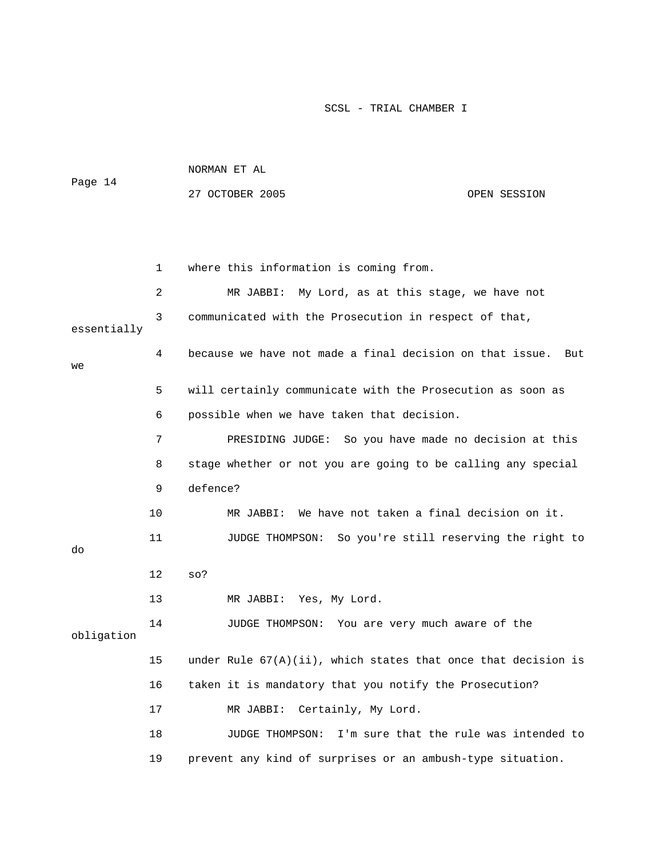|         | NORMAN ET AL    |              |
|---------|-----------------|--------------|
| Page 14 |                 |              |
|         | 27 OCTOBER 2005 | OPEN SESSION |

|             | 1  | where this information is coming from.                           |
|-------------|----|------------------------------------------------------------------|
|             | 2  | MR JABBI: My Lord, as at this stage, we have not                 |
| essentially | 3  | communicated with the Prosecution in respect of that,            |
| we          | 4  | because we have not made a final decision on that issue.<br>But  |
|             | 5  | will certainly communicate with the Prosecution as soon as       |
|             | 6  | possible when we have taken that decision.                       |
|             | 7  | PRESIDING JUDGE: So you have made no decision at this            |
|             | 8  | stage whether or not you are going to be calling any special     |
|             | 9  | defence?                                                         |
|             | 10 | We have not taken a final decision on it.<br>MR JABBI:           |
| do          | 11 | JUDGE THOMPSON: So you're still reserving the right to           |
|             | 12 | $SO$ ?                                                           |
|             | 13 | MR JABBI: Yes, My Lord.                                          |
| obligation  | 14 | JUDGE THOMPSON: You are very much aware of the                   |
|             | 15 | under Rule $67(A)(ii)$ , which states that once that decision is |
|             | 16 | taken it is mandatory that you notify the Prosecution?           |
|             | 17 | Certainly, My Lord.<br>MR JABBI:                                 |
|             | 18 | JUDGE THOMPSON: I'm sure that the rule was intended to           |
|             | 19 | prevent any kind of surprises or an ambush-type situation.       |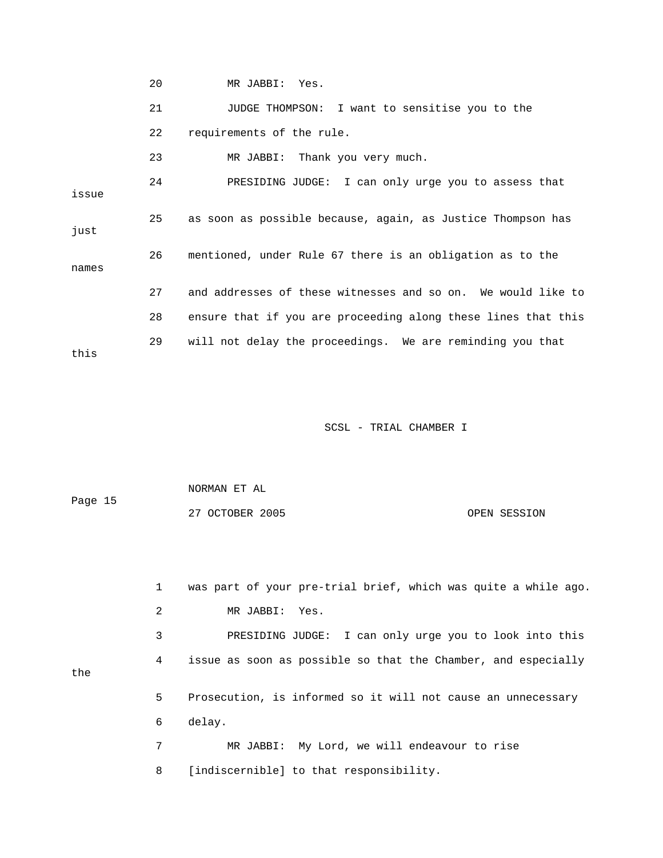20 MR JABBI: Yes.

 21 JUDGE THOMPSON: I want to sensitise you to the 22 requirements of the rule. 23 MR JABBI: Thank you very much. 24 PRESIDING JUDGE: I can only urge you to assess that issue 25 as soon as possible because, again, as Justice Thompson has just 26 mentioned, under Rule 67 there is an obligation as to the names 27 and addresses of these witnesses and so on. We would like to 28 ensure that if you are proceeding along these lines that this 29 will not delay the proceedings. We are reminding you that this

SCSL - TRIAL CHAMBER I

 NORMAN ET AL Page 15 27 OCTOBER 2005 OPEN SESSION

 1 was part of your pre-trial brief, which was quite a while ago. 2 MR JABBI: Yes. 3 PRESIDING JUDGE: I can only urge you to look into this 4 issue as soon as possible so that the Chamber, and especially 5 Prosecution, is informed so it will not cause an unnecessary 6 delay. 7 MR JABBI: My Lord, we will endeavour to rise

8 [indiscernible] to that responsibility.

the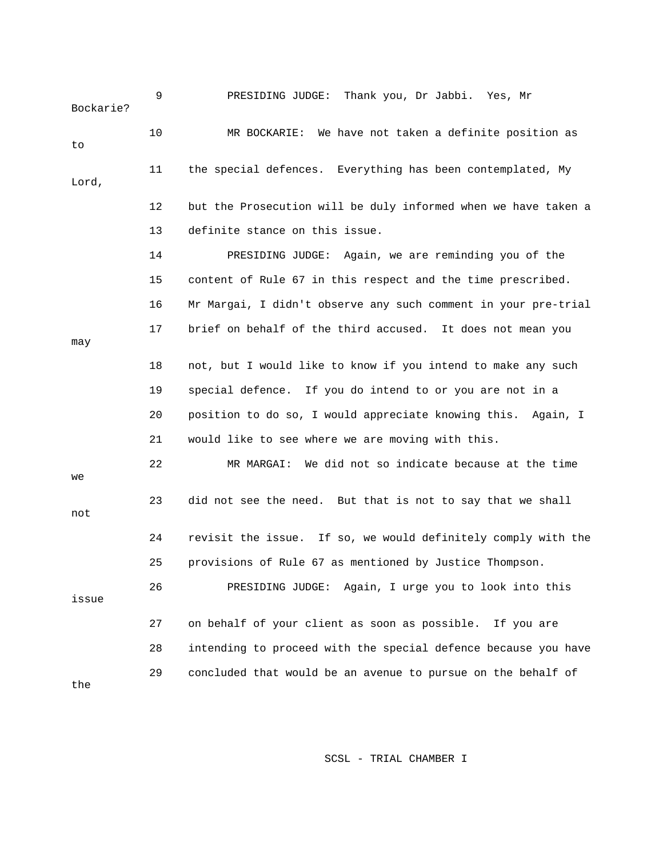| Bockarie? | 9  | PRESIDING JUDGE: Thank you, Dr Jabbi. Yes, Mr                  |
|-----------|----|----------------------------------------------------------------|
| to        | 10 | MR BOCKARIE: We have not taken a definite position as          |
| Lord,     | 11 | the special defences. Everything has been contemplated, My     |
|           | 12 | but the Prosecution will be duly informed when we have taken a |
|           | 13 | definite stance on this issue.                                 |
|           | 14 | PRESIDING JUDGE: Again, we are reminding you of the            |
|           | 15 | content of Rule 67 in this respect and the time prescribed.    |
|           | 16 | Mr Margai, I didn't observe any such comment in your pre-trial |
| may       | 17 | brief on behalf of the third accused. It does not mean you     |
|           | 18 | not, but I would like to know if you intend to make any such   |
|           | 19 | special defence. If you do intend to or you are not in a       |
|           | 20 | position to do so, I would appreciate knowing this. Again, I   |
|           | 21 | would like to see where we are moving with this.               |
| we        | 22 | MR MARGAI: We did not so indicate because at the time          |
| not       | 23 | did not see the need. But that is not to say that we shall     |
|           | 24 | revisit the issue. If so, we would definitely comply with the  |
|           | 25 | provisions of Rule 67 as mentioned by Justice Thompson.        |
| issue     | 26 | PRESIDING JUDGE: Again, I urge you to look into this           |
|           | 27 | on behalf of your client as soon as possible. If you are       |
|           | 28 | intending to proceed with the special defence because you have |
| the       | 29 | concluded that would be an avenue to pursue on the behalf of   |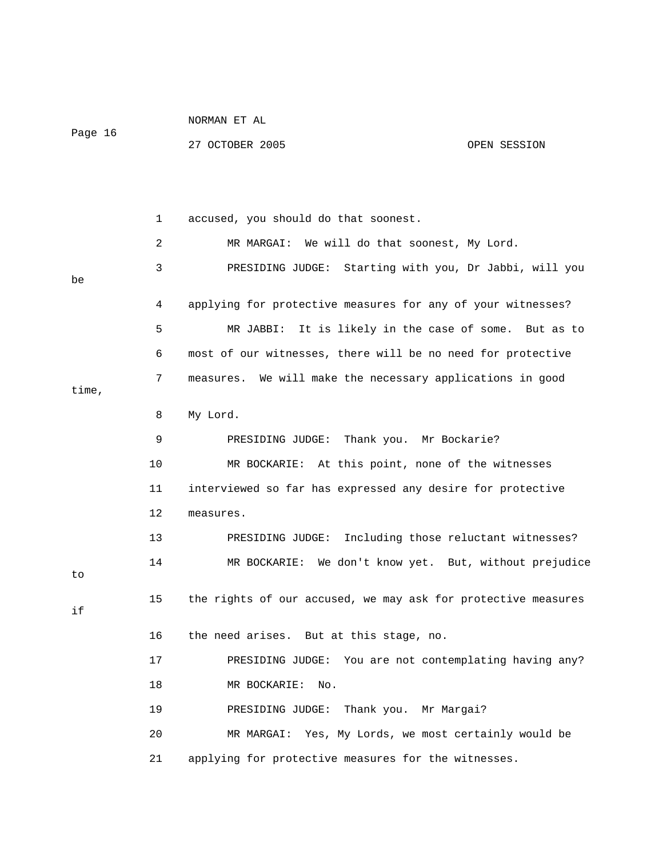|         | NORMAN ET AL    |              |
|---------|-----------------|--------------|
| Page 16 |                 |              |
|         | 27 OCTOBER 2005 | OPEN SESSION |

 1 accused, you should do that soonest. 2 MR MARGAI: We will do that soonest, My Lord. 3 PRESIDING JUDGE: Starting with you, Dr Jabbi, will you be 4 applying for protective measures for any of your witnesses? 5 MR JABBI: It is likely in the case of some. But as to 6 most of our witnesses, there will be no need for protective 7 measures. We will make the necessary applications in good time, 8 My Lord. 9 PRESIDING JUDGE: Thank you. Mr Bockarie? 10 MR BOCKARIE: At this point, none of the witnesses 11 interviewed so far has expressed any desire for protective 12 measures. 13 PRESIDING JUDGE: Including those reluctant witnesses? 14 MR BOCKARIE: We don't know yet. But, without prejudice to 15 the rights of our accused, we may ask for protective measures if 16 the need arises. But at this stage, no. 17 PRESIDING JUDGE: You are not contemplating having any? 18 MR BOCKARIE: No. 19 PRESIDING JUDGE: Thank you. Mr Margai? 20 MR MARGAI: Yes, My Lords, we most certainly would be 21 applying for protective measures for the witnesses.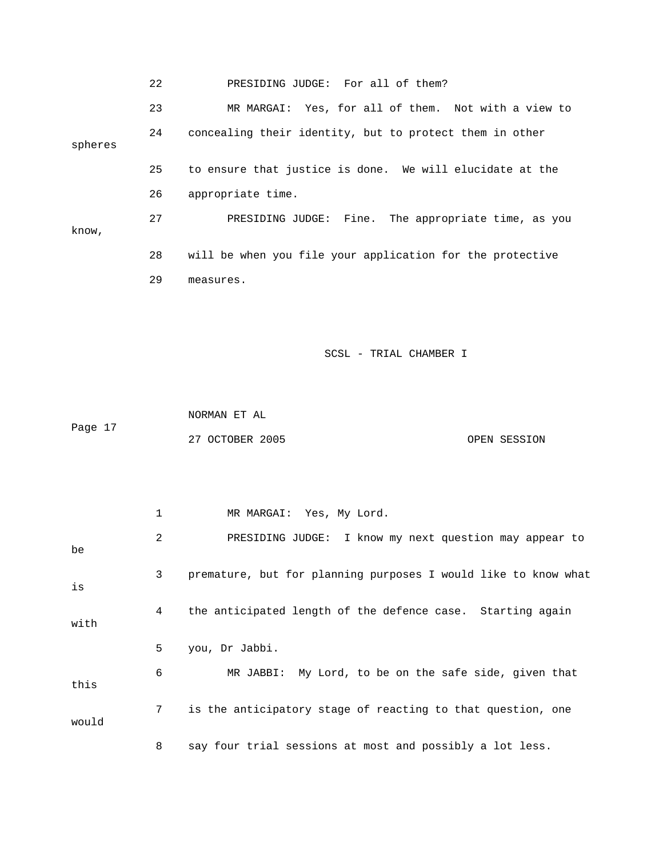22 PRESIDING JUDGE: For all of them? 23 MR MARGAI: Yes, for all of them. Not with a view to 24 concealing their identity, but to protect them in other spheres 25 to ensure that justice is done. We will elucidate at the 26 appropriate time. 27 PRESIDING JUDGE: Fine. The appropriate time, as you know, 28 will be when you file your application for the protective 29 measures.

SCSL - TRIAL CHAMBER I

 NORMAN ET AL Page 17 27 OCTOBER 2005 OPEN SESSION

 1 MR MARGAI: Yes, My Lord. 2 PRESIDING JUDGE: I know my next question may appear to be 3 premature, but for planning purposes I would like to know what is 4 the anticipated length of the defence case. Starting again with 5 you, Dr Jabbi. 6 MR JABBI: My Lord, to be on the safe side, given that this 7 is the anticipatory stage of reacting to that question, one would 8 say four trial sessions at most and possibly a lot less.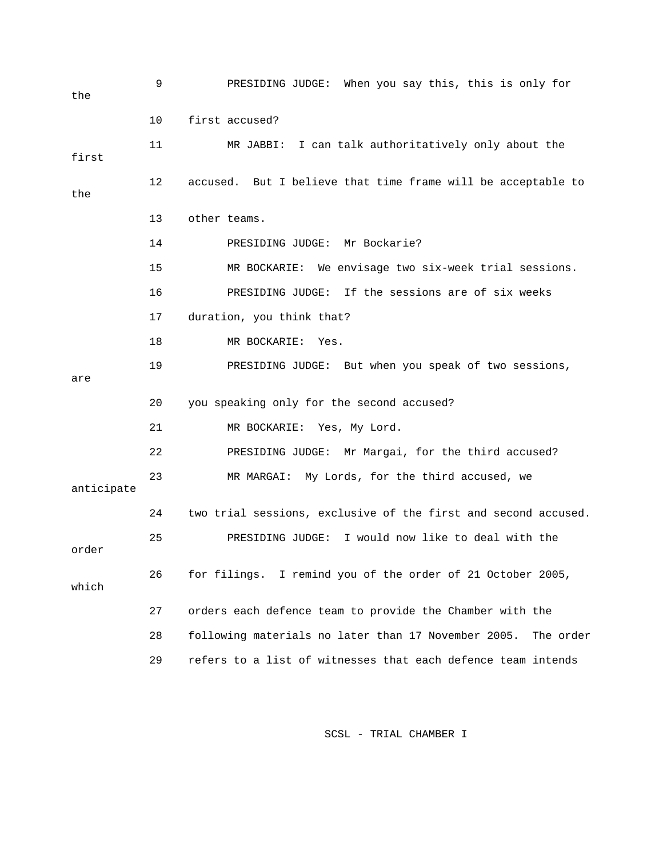| the        | 9  | PRESIDING JUDGE: When you say this, this is only for             |
|------------|----|------------------------------------------------------------------|
|            | 10 | first accused?                                                   |
| first      | 11 | MR JABBI: I can talk authoritatively only about the              |
| the        | 12 | accused. But I believe that time frame will be acceptable to     |
|            | 13 | other teams.                                                     |
|            | 14 | PRESIDING JUDGE: Mr Bockarie?                                    |
|            | 15 | MR BOCKARIE: We envisage two six-week trial sessions.            |
|            | 16 | PRESIDING JUDGE: If the sessions are of six weeks                |
|            | 17 | duration, you think that?                                        |
|            | 18 | MR BOCKARIE:<br>Yes.                                             |
| are        | 19 | PRESIDING JUDGE: But when you speak of two sessions,             |
|            | 20 | you speaking only for the second accused?                        |
|            | 21 | MR BOCKARIE: Yes, My Lord.                                       |
|            | 22 | PRESIDING JUDGE: Mr Margai, for the third accused?               |
| anticipate | 23 | MR MARGAI: My Lords, for the third accused, we                   |
|            | 24 | two trial sessions, exclusive of the first and second accused.   |
| order      | 25 | I would now like to deal with the<br>PRESIDING JUDGE:            |
| which      | 26 | I remind you of the order of 21 October 2005,<br>for filings.    |
|            | 27 | orders each defence team to provide the Chamber with the         |
|            | 28 | following materials no later than 17 November 2005.<br>The order |
|            | 29 | refers to a list of witnesses that each defence team intends     |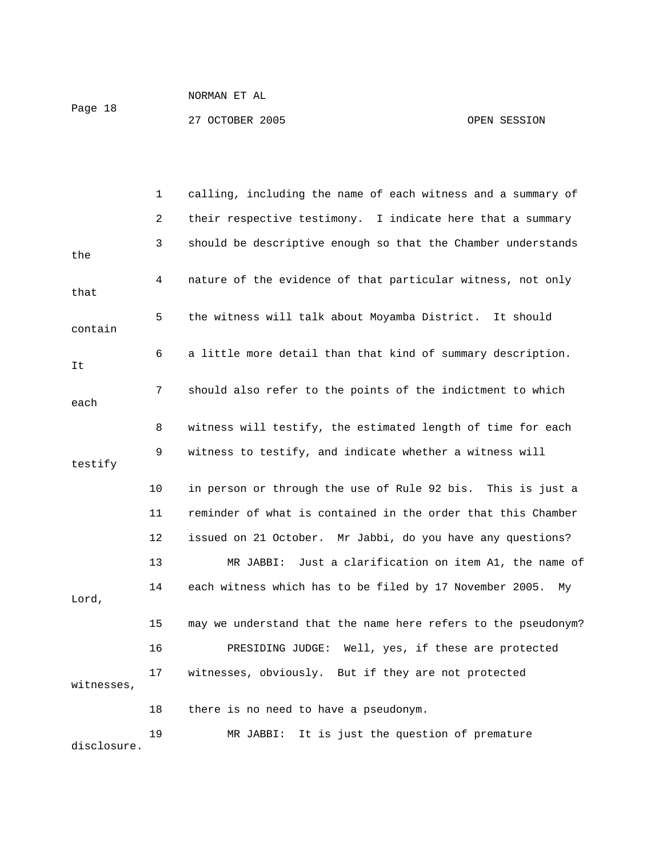27 OCTOBER 2005 CPEN SESSION

|             | 1              | calling, including the name of each witness and a summary of  |
|-------------|----------------|---------------------------------------------------------------|
|             | $\overline{c}$ | their respective testimony. I indicate here that a summary    |
| the         | 3              | should be descriptive enough so that the Chamber understands  |
| that        | 4              | nature of the evidence of that particular witness, not only   |
| contain     | 5              | the witness will talk about Moyamba District. It should       |
| It          | 6              | a little more detail than that kind of summary description.   |
| each        | 7              | should also refer to the points of the indictment to which    |
|             | 8              | witness will testify, the estimated length of time for each   |
| testify     | 9              | witness to testify, and indicate whether a witness will       |
|             | 10             | in person or through the use of Rule 92 bis. This is just a   |
|             | 11             | reminder of what is contained in the order that this Chamber  |
|             | 12             | issued on 21 October. Mr Jabbi, do you have any questions?    |
|             | 13             | MR JABBI: Just a clarification on item A1, the name of        |
| Lord,       | 14             | each witness which has to be filed by 17 November 2005.<br>Мy |
|             | 15             | may we understand that the name here refers to the pseudonym? |
|             | 16             | PRESIDING JUDGE: Well, yes, if these are protected            |
| witnesses,  | 17             | witnesses, obviously. But if they are not protected           |
|             | 18             | there is no need to have a pseudonym.                         |
| disclosure. | 19             | It is just the question of premature<br>MR JABBI:             |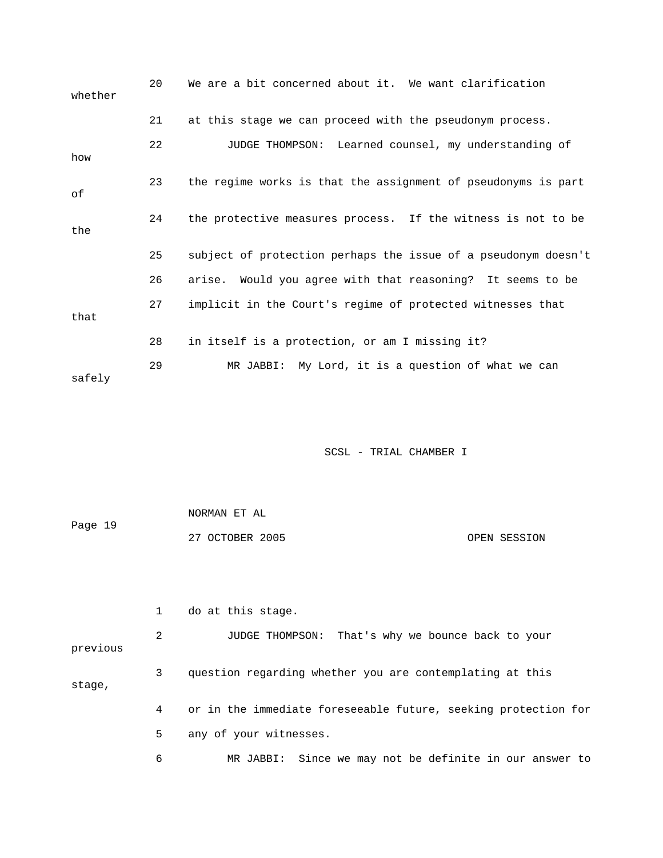| whether | 20 | We are a bit concerned about it. We want clarification         |
|---------|----|----------------------------------------------------------------|
|         | 21 | at this stage we can proceed with the pseudonym process.       |
| how     | 22 | JUDGE THOMPSON: Learned counsel, my understanding of           |
| оf      | 23 | the regime works is that the assignment of pseudonyms is part  |
| the     | 24 | the protective measures process. If the witness is not to be   |
|         | 25 | subject of protection perhaps the issue of a pseudonym doesn't |
|         | 26 | arise. Would you agree with that reasoning? It seems to be     |
| that    | 27 | implicit in the Court's regime of protected witnesses that     |
|         | 28 | in itself is a protection, or am I missing it?                 |
| safely  | 29 | MR JABBI: My Lord, it is a question of what we can             |

|         | NORMAN ET AL    |  |              |
|---------|-----------------|--|--------------|
| Page 19 |                 |  |              |
|         | 27 OCTOBER 2005 |  | OPEN SESSION |

|          |   | do at this stage.                                              |
|----------|---|----------------------------------------------------------------|
| previous | 2 | JUDGE THOMPSON: That's why we bounce back to your              |
| stage,   | 3 | question regarding whether you are contemplating at this       |
|          | 4 | or in the immediate foreseeable future, seeking protection for |
|          | 5 | any of your witnesses.                                         |
|          | 6 | MR JABBI: Since we may not be definite in our answer to        |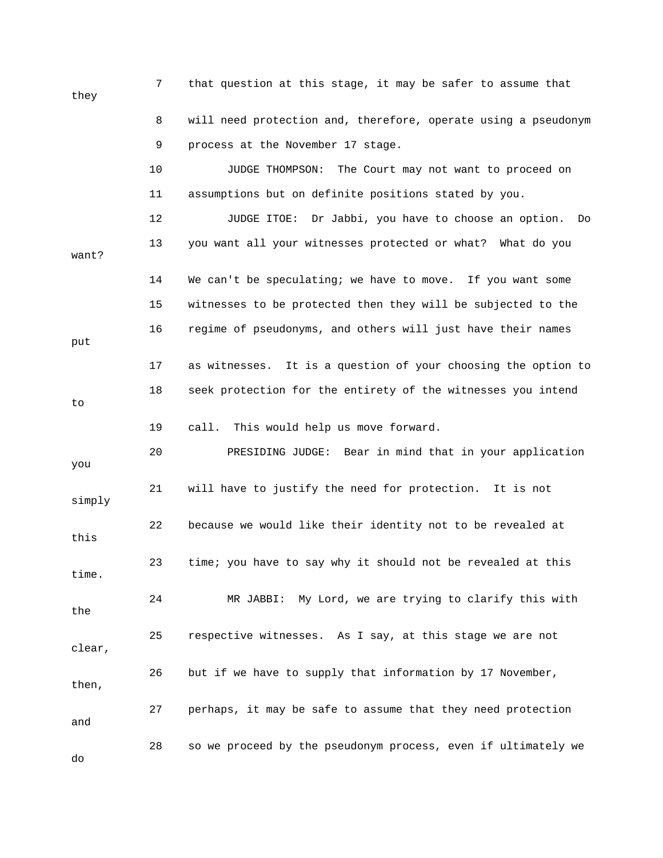7 that question at this stage, it may be safer to assume that they 8 will need protection and, therefore, operate using a pseudonym 9 process at the November 17 stage. 10 JUDGE THOMPSON: The Court may not want to proceed on 11 assumptions but on definite positions stated by you. 12 JUDGE ITOE: Dr Jabbi, you have to choose an option. Do 13 you want all your witnesses protected or what? What do you want? 14 We can't be speculating; we have to move. If you want some 15 witnesses to be protected then they will be subjected to the 16 regime of pseudonyms, and others will just have their names put 17 as witnesses. It is a question of your choosing the option to 18 seek protection for the entirety of the witnesses you intend to 19 call. This would help us move forward. 20 PRESIDING JUDGE: Bear in mind that in your application you 21 will have to justify the need for protection. It is not simply 22 because we would like their identity not to be revealed at this 23 time; you have to say why it should not be revealed at this time. 24 MR JABBI: My Lord, we are trying to clarify this with the 25 respective witnesses. As I say, at this stage we are not clear, 26 but if we have to supply that information by 17 November, then, 27 perhaps, it may be safe to assume that they need protection and 28 so we proceed by the pseudonym process, even if ultimately we do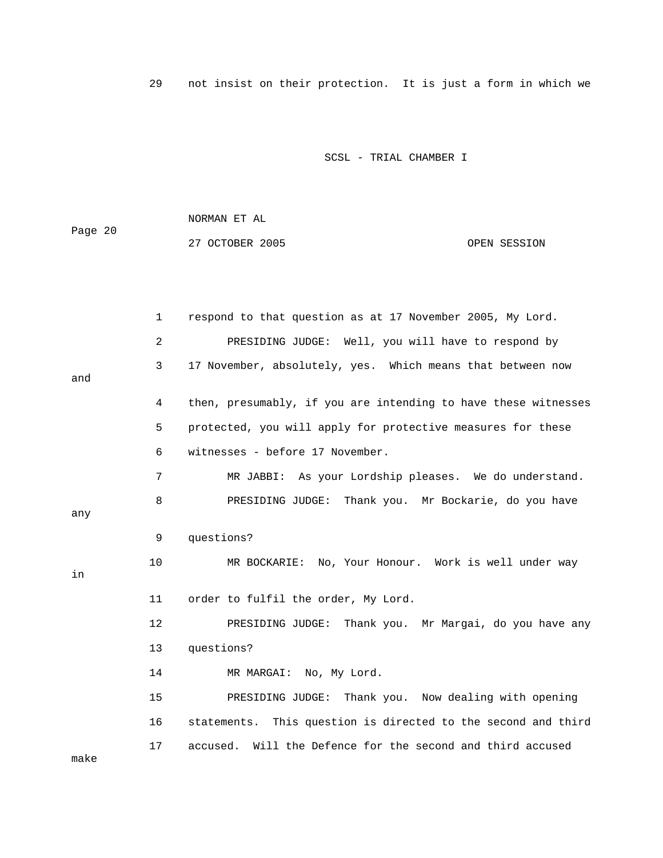29 not insist on their protection. It is just a form in which we

SCSL - TRIAL CHAMBER I

 NORMAN ET AL Page 20 27 OCTOBER 2005 CPEN SESSION

|      | $\mathbf{1}$   | respond to that question as at 17 November 2005, My Lord.      |
|------|----------------|----------------------------------------------------------------|
|      | $\overline{a}$ | PRESIDING JUDGE: Well, you will have to respond by             |
| and  | 3              | 17 November, absolutely, yes. Which means that between now     |
|      | 4              | then, presumably, if you are intending to have these witnesses |
|      | 5              | protected, you will apply for protective measures for these    |
|      | 6              | witnesses - before 17 November.                                |
|      | 7              | MR JABBI: As your Lordship pleases. We do understand.          |
| any  | 8              | PRESIDING JUDGE: Thank you. Mr Bockarie, do you have           |
|      | 9              | questions?                                                     |
| in   | 10             | MR BOCKARIE: No, Your Honour. Work is well under way           |
|      | 11             | order to fulfil the order, My Lord.                            |
|      | 12             | PRESIDING JUDGE: Thank you. Mr Margai, do you have any         |
|      | 13             | questions?                                                     |
|      | 14             | MR MARGAI: No, My Lord.                                        |
|      | 15             | PRESIDING JUDGE: Thank you. Now dealing with opening           |
|      | 16             | statements. This question is directed to the second and third  |
| make | 17             | Will the Defence for the second and third accused<br>accused.  |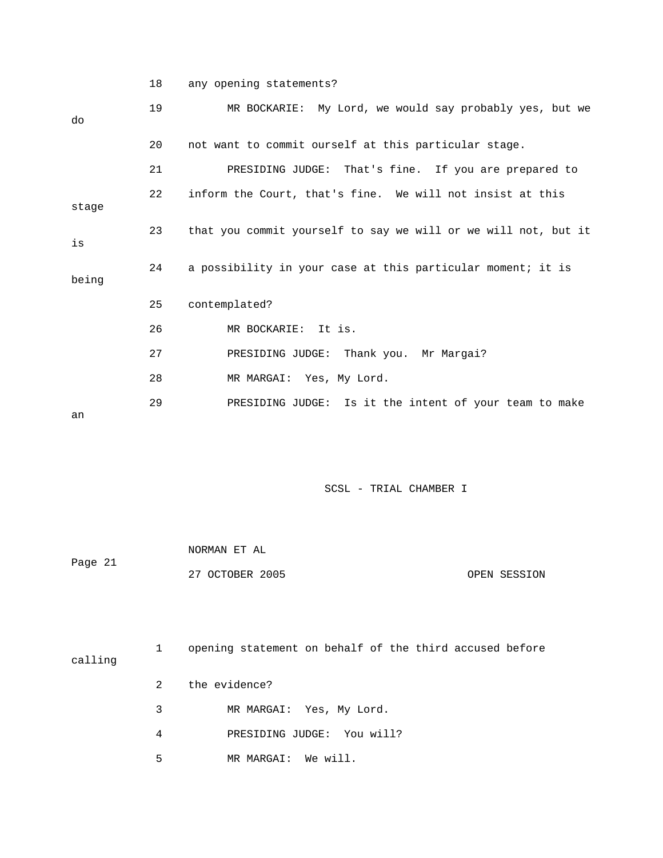18 any opening statements?

| do    | 19 | MR BOCKARIE: My Lord, we would say probably yes, but we        |
|-------|----|----------------------------------------------------------------|
|       | 20 | not want to commit ourself at this particular stage.           |
|       | 21 | PRESIDING JUDGE: That's fine. If you are prepared to           |
| stage | 22 | inform the Court, that's fine. We will not insist at this      |
| is    | 23 | that you commit yourself to say we will or we will not, but it |
| being | 24 | a possibility in your case at this particular moment; it is    |
|       | 25 | contemplated?                                                  |
|       | 26 | MR BOCKARIE: It is.                                            |
|       | 27 | PRESIDING JUDGE: Thank you. Mr Margai?                         |
|       | 28 | MR MARGAI: Yes, My Lord.                                       |
| an    | 29 | PRESIDING JUDGE: Is it the intent of your team to make         |

|         | NORMAN ET AL    |              |
|---------|-----------------|--------------|
| Page 21 |                 |              |
|         | 27 OCTOBER 2005 | OPEN SESSION |

| calling |               | opening statement on behalf of the third accused before |
|---------|---------------|---------------------------------------------------------|
|         | $\mathcal{L}$ | the evidence?                                           |
|         | 3             | MR MARGAI: Yes, My Lord.                                |
|         | 4             | PRESIDING JUDGE: You will?                              |
|         | 5             | MR MARGAI: We will.                                     |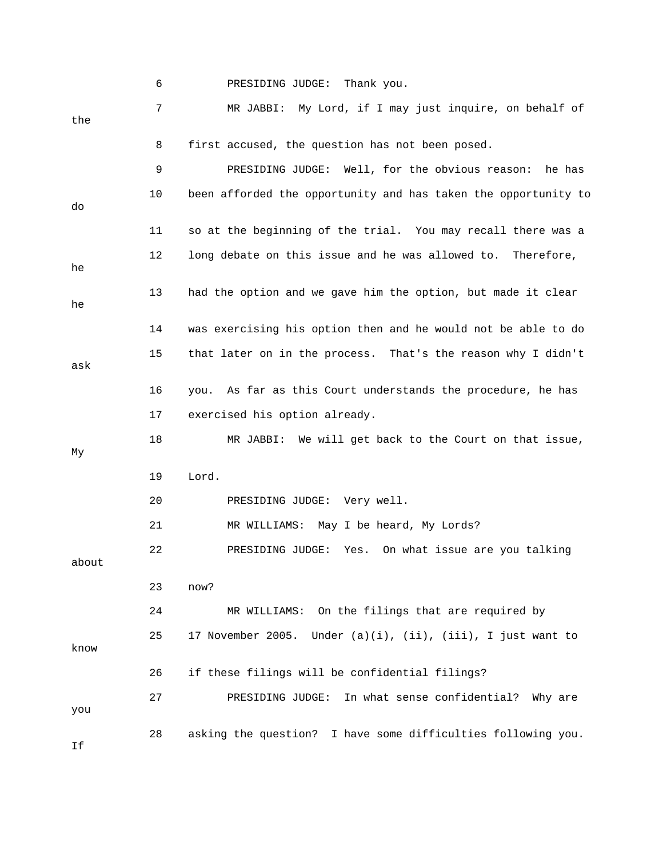|       | 6  | PRESIDING JUDGE:<br>Thank you.                                          |
|-------|----|-------------------------------------------------------------------------|
| the   | 7  | MR JABBI: My Lord, if I may just inquire, on behalf of                  |
|       | 8  | first accused, the question has not been posed.                         |
|       | 9  | PRESIDING JUDGE: Well, for the obvious reason:<br>he has                |
| do    | 10 | been afforded the opportunity and has taken the opportunity to          |
|       | 11 | so at the beginning of the trial. You may recall there was a            |
| he    | 12 | long debate on this issue and he was allowed to. Therefore,             |
| he    | 13 | had the option and we gave him the option, but made it clear            |
|       | 14 | was exercising his option then and he would not be able to do           |
| ask   | 15 | that later on in the process. That's the reason why I didn't            |
|       | 16 | you. As far as this Court understands the procedure, he has             |
|       | 17 | exercised his option already.                                           |
| Мy    | 18 | MR JABBI: We will get back to the Court on that issue,                  |
|       | 19 | Lord.                                                                   |
|       | 20 | PRESIDING JUDGE: Very well.                                             |
|       | 21 | MR WILLIAMS: May I be heard, My Lords?                                  |
| about | 22 | Yes. On what issue are you talking<br>PRESIDING JUDGE:                  |
|       | 23 | now?                                                                    |
|       | 24 | MR WILLIAMS: On the filings that are required by                        |
| know  | 25 | 17 November 2005.<br>Under $(a)(i)$ , $(ii)$ , $(iii)$ , I just want to |
|       | 26 | if these filings will be confidential filings?                          |
| you   | 27 | In what sense confidential?<br>PRESIDING JUDGE:<br>Why are              |
| If    | 28 | asking the question? I have some difficulties following you.            |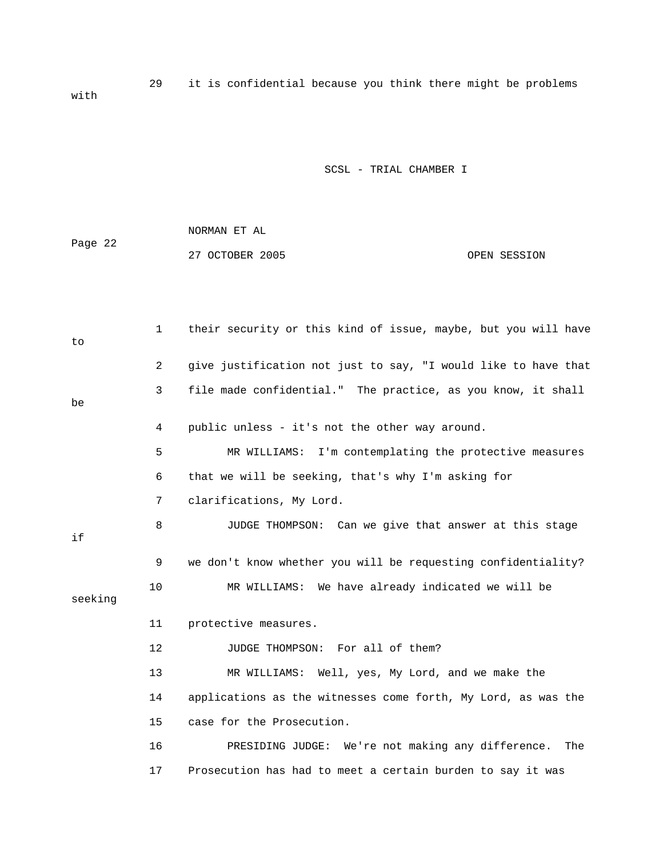29 it is confidential because you think there might be problems with

|         | NORMAN ET AL    |              |
|---------|-----------------|--------------|
| Page 22 |                 |              |
|         | 27 OCTOBER 2005 | OPEN SESSION |

| to      | $\mathbf{1}$   | their security or this kind of issue, maybe, but you will have |
|---------|----------------|----------------------------------------------------------------|
|         | $\overline{a}$ | give justification not just to say, "I would like to have that |
| be      | 3              | file made confidential." The practice, as you know, it shall   |
|         | 4              | public unless - it's not the other way around.                 |
|         | 5              | MR WILLIAMS: I'm contemplating the protective measures         |
|         | 6              | that we will be seeking, that's why I'm asking for             |
|         | 7              | clarifications, My Lord.                                       |
| if      | 8              | JUDGE THOMPSON: Can we give that answer at this stage          |
|         | 9              | we don't know whether you will be requesting confidentiality?  |
| seeking | 10             | MR WILLIAMS: We have already indicated we will be              |
|         | 11             | protective measures.                                           |
|         | 12             | JUDGE THOMPSON: For all of them?                               |
|         | 13             | MR WILLIAMS: Well, yes, My Lord, and we make the               |
|         | 14             | applications as the witnesses come forth, My Lord, as was the  |
|         | 15             | case for the Prosecution.                                      |
|         | 16             | PRESIDING JUDGE: We're not making any difference.<br>The       |
|         | 17             | Prosecution has had to meet a certain burden to say it was     |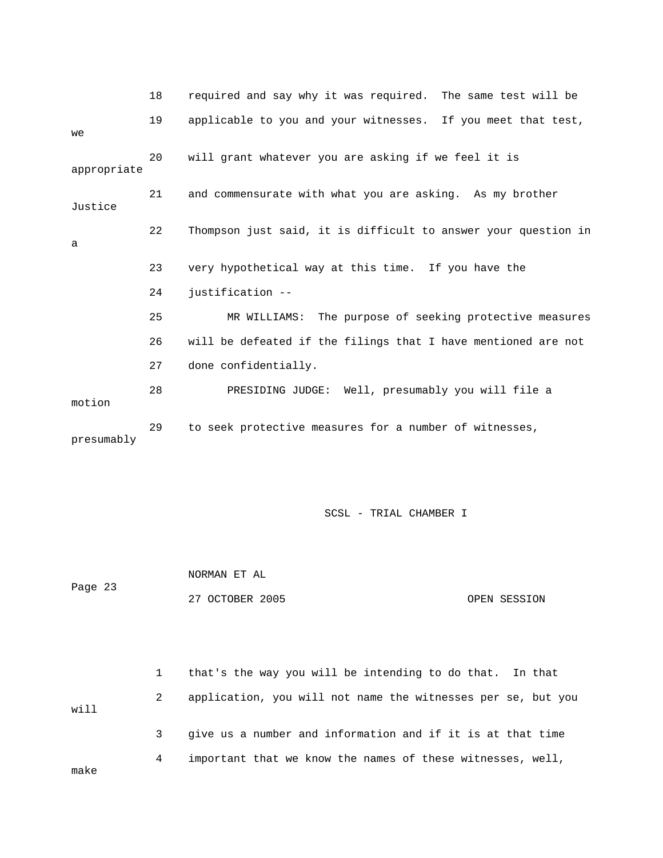|             | 18 | required and say why it was required. The same test will be    |
|-------------|----|----------------------------------------------------------------|
| we          | 19 | applicable to you and your witnesses. If you meet that test,   |
| appropriate | 20 | will grant whatever you are asking if we feel it is            |
| Justice     | 21 | and commensurate with what you are asking. As my brother       |
| a           | 22 | Thompson just said, it is difficult to answer your question in |
|             | 23 | very hypothetical way at this time. If you have the            |
|             | 24 | justification --                                               |
|             | 25 | MR WILLIAMS: The purpose of seeking protective measures        |
|             | 26 | will be defeated if the filings that I have mentioned are not  |
|             | 27 | done confidentially.                                           |
| motion      | 28 | PRESIDING JUDGE: Well, presumably you will file a              |
| presumably  | 29 | to seek protective measures for a number of witnesses,         |

 NORMAN ET AL Page 23 27 OCTOBER 2005 OPEN SESSION

 1 that's the way you will be intending to do that. In that 2 application, you will not name the witnesses per se, but you will 3 give us a number and information and if it is at that time 4 important that we know the names of these witnesses, well, make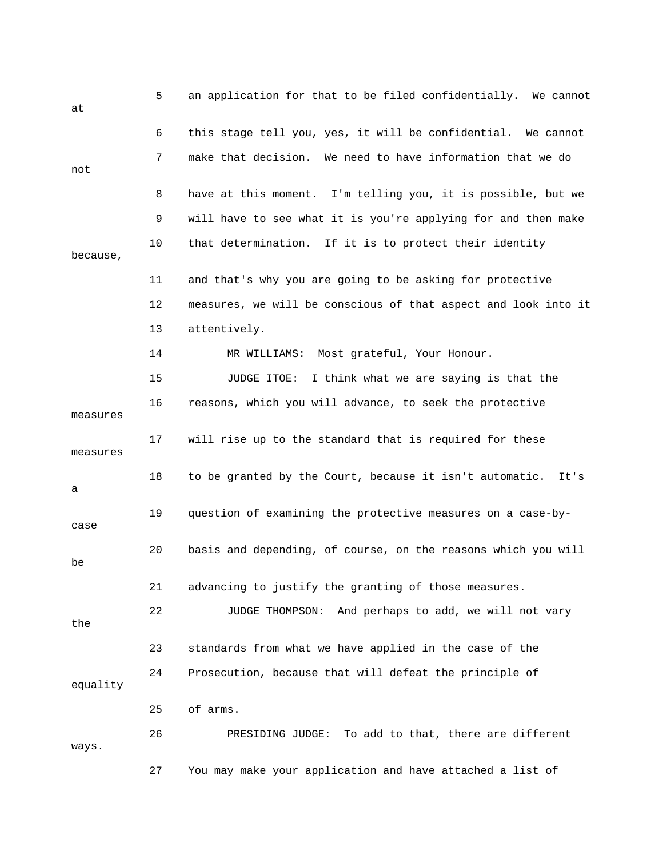| at       | 5  | an application for that to be filed confidentially. We cannot   |
|----------|----|-----------------------------------------------------------------|
|          | 6  | this stage tell you, yes, it will be confidential. We cannot    |
| not      | 7  | make that decision. We need to have information that we do      |
|          | 8  | have at this moment. I'm telling you, it is possible, but we    |
|          | 9  | will have to see what it is you're applying for and then make   |
| because, | 10 | that determination. If it is to protect their identity          |
|          | 11 | and that's why you are going to be asking for protective        |
|          | 12 | measures, we will be conscious of that aspect and look into it  |
|          | 13 | attentively.                                                    |
|          | 14 | MR WILLIAMS: Most grateful, Your Honour.                        |
|          | 15 | JUDGE ITOE:<br>I think what we are saying is that the           |
| measures | 16 | reasons, which you will advance, to seek the protective         |
| measures | 17 | will rise up to the standard that is required for these         |
| а        | 18 | to be granted by the Court, because it isn't automatic.<br>It's |
| case     | 19 | question of examining the protective measures on a case-by-     |
| be       | 20 | basis and depending, of course, on the reasons which you will   |
|          | 21 | advancing to justify the granting of those measures.            |
| the      | 22 | And perhaps to add, we will not vary<br>JUDGE THOMPSON:         |
|          | 23 | standards from what we have applied in the case of the          |
| equality | 24 | Prosecution, because that will defeat the principle of          |
|          | 25 | of arms.                                                        |
| ways.    | 26 | PRESIDING JUDGE: To add to that, there are different            |
|          | 27 | You may make your application and have attached a list of       |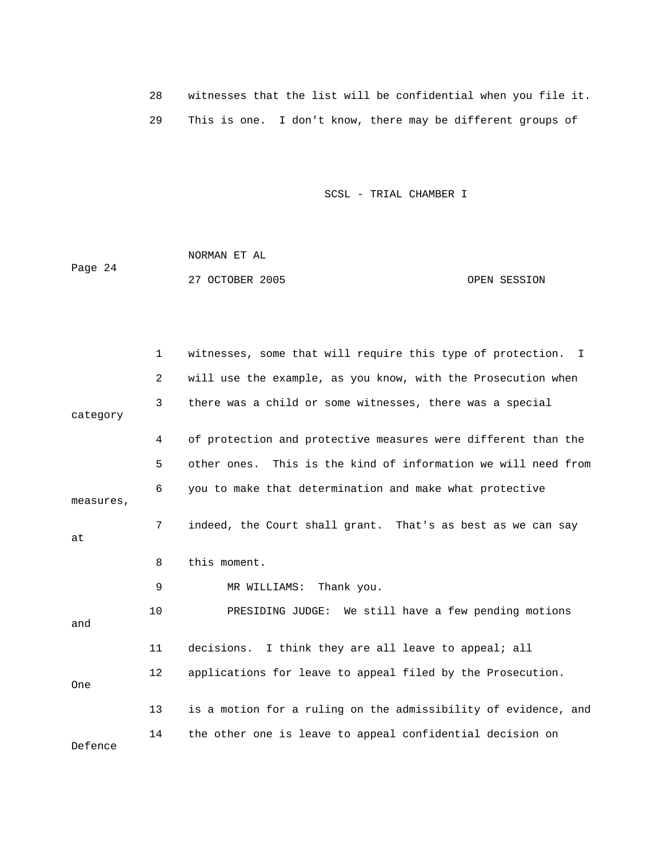|  |  | witnesses that the list will be confidential when you file it. |
|--|--|----------------------------------------------------------------|
|  |  | This is one. I don't know, there may be different groups of    |

 NORMAN ET AL Page 24 27 OCTOBER 2005 CONSIDERED SESSION

|            | $\mathbf 1$ | witnesses, some that will require this type of protection.<br>I |
|------------|-------------|-----------------------------------------------------------------|
|            | 2           | will use the example, as you know, with the Prosecution when    |
| category   | 3           | there was a child or some witnesses, there was a special        |
|            | 4           | of protection and protective measures were different than the   |
|            | 5           | other ones. This is the kind of information we will need from   |
| measures,  | 6           | you to make that determination and make what protective         |
| at         | 7           | indeed, the Court shall grant. That's as best as we can say     |
|            | 8           | this moment.                                                    |
|            | 9           | MR WILLIAMS:<br>Thank you.                                      |
| and        | 10          | PRESIDING JUDGE: We still have a few pending motions            |
|            | 11          | decisions. I think they are all leave to appeal; all            |
| <b>One</b> | 12          | applications for leave to appeal filed by the Prosecution.      |
|            | 13          | is a motion for a ruling on the admissibility of evidence, and  |
| Defence    | 14          | the other one is leave to appeal confidential decision on       |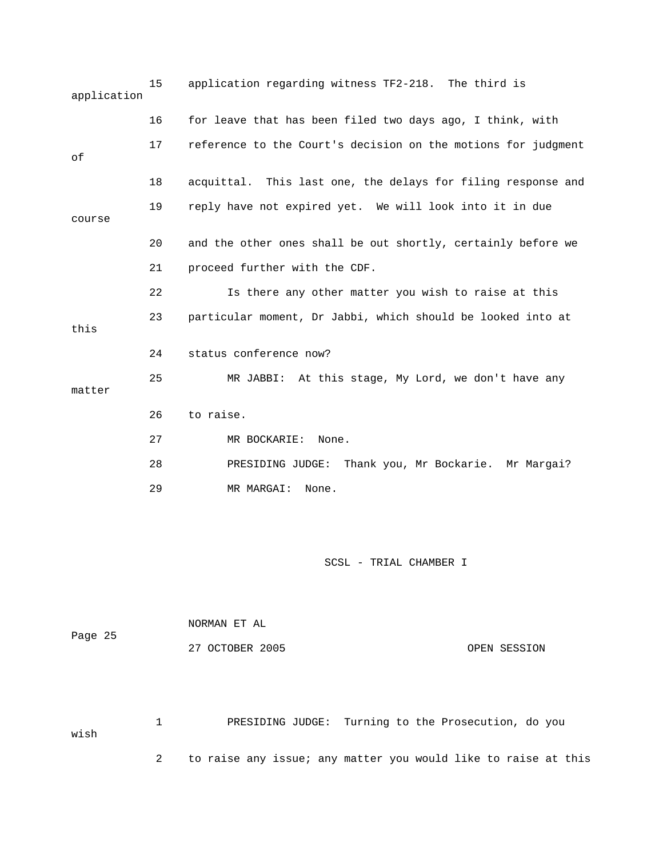| application | 15 | application regarding witness TF2-218. The third is           |
|-------------|----|---------------------------------------------------------------|
|             | 16 | for leave that has been filed two days ago, I think, with     |
| оf          | 17 | reference to the Court's decision on the motions for judgment |
|             | 18 | acquittal. This last one, the delays for filing response and  |
| course      | 19 | reply have not expired yet. We will look into it in due       |
|             | 20 | and the other ones shall be out shortly, certainly before we  |
|             | 21 | proceed further with the CDF.                                 |
|             | 22 | Is there any other matter you wish to raise at this           |
| this        | 23 | particular moment, Dr Jabbi, which should be looked into at   |
|             | 24 | status conference now?                                        |
| matter      | 25 | MR JABBI: At this stage, My Lord, we don't have any           |
|             | 26 | to raise.                                                     |
|             | 27 | MR BOCKARIE:<br>None.                                         |
|             | 28 | PRESIDING JUDGE:<br>Thank you, Mr Bockarie. Mr Margai?        |
|             | 29 | MR MARGAI:<br>None.                                           |
|             |    |                                                               |

| Page 25 | NORMAN ET AL    |              |
|---------|-----------------|--------------|
|         | 27 OCTOBER 2005 | OPEN SESSION |

 1 PRESIDING JUDGE: Turning to the Prosecution, do you wish 2 to raise any issue; any matter you would like to raise at this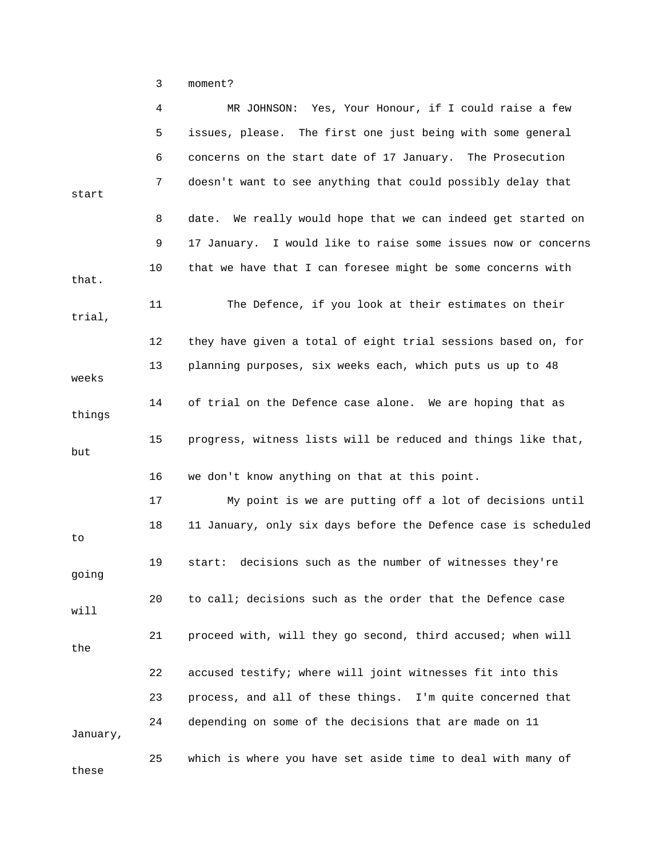3 moment?

|          | 4  | MR JOHNSON: Yes, Your Honour, if I could raise a few           |
|----------|----|----------------------------------------------------------------|
|          | 5  | issues, please. The first one just being with some general     |
|          | 6  | concerns on the start date of 17 January. The Prosecution      |
| start    | 7  | doesn't want to see anything that could possibly delay that    |
|          | 8  | date. We really would hope that we can indeed get started on   |
|          | 9  | 17 January. I would like to raise some issues now or concerns  |
|          |    |                                                                |
| that.    | 10 | that we have that I can foresee might be some concerns with    |
| trial,   | 11 | The Defence, if you look at their estimates on their           |
|          | 12 | they have given a total of eight trial sessions based on, for  |
| weeks    | 13 | planning purposes, six weeks each, which puts us up to 48      |
| things   | 14 | of trial on the Defence case alone. We are hoping that as      |
| but      | 15 | progress, witness lists will be reduced and things like that,  |
|          | 16 | we don't know anything on that at this point.                  |
|          | 17 | My point is we are putting off a lot of decisions until        |
| to       | 18 | 11 January, only six days before the Defence case is scheduled |
| going    | 19 | decisions such as the number of witnesses they're<br>start:    |
| will     | 20 | to call; decisions such as the order that the Defence case     |
| the      | 21 | proceed with, will they go second, third accused; when will    |
|          | 22 | accused testify; where will joint witnesses fit into this      |
|          | 23 | process, and all of these things. I'm quite concerned that     |
| January, | 24 | depending on some of the decisions that are made on 11         |
| these    | 25 | which is where you have set aside time to deal with many of    |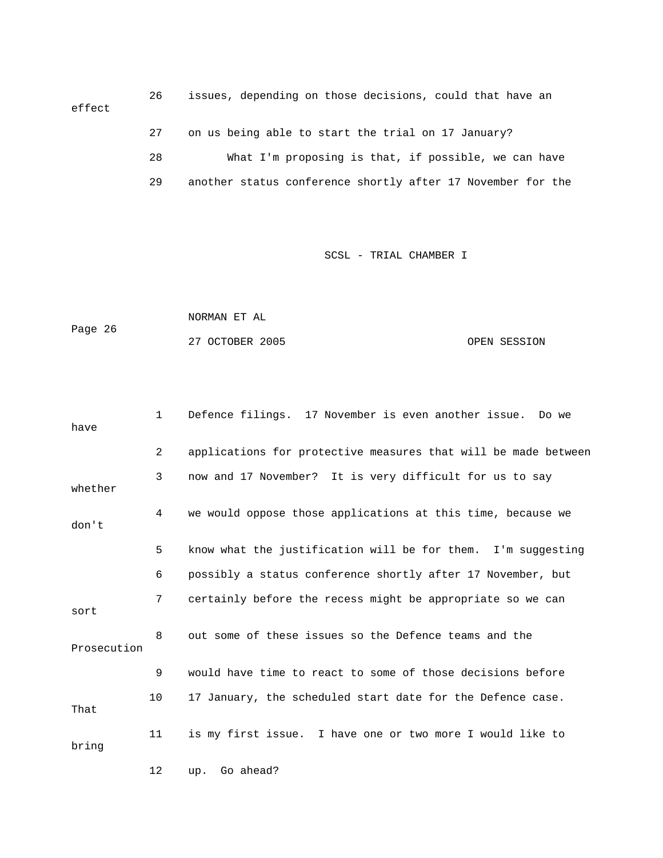26 issues, depending on those decisions, could that have an effect 27 on us being able to start the trial on 17 January? 28 What I'm proposing is that, if possible, we can have 29 another status conference shortly after 17 November for the

```
 NORMAN ET AL 
Page 26 
            27 OCTOBER 2005 CPEN SESSION
```

| have        | $\mathbf{1}$ | Defence filings. 17 November is even another issue. Do we      |
|-------------|--------------|----------------------------------------------------------------|
|             | 2            | applications for protective measures that will be made between |
| whether     | 3            | now and 17 November? It is very difficult for us to say        |
| don't       | 4            | we would oppose those applications at this time, because we    |
|             | 5            | know what the justification will be for them. I'm suggesting   |
|             | 6            | possibly a status conference shortly after 17 November, but    |
| sort        | 7            | certainly before the recess might be appropriate so we can     |
| Prosecution | 8            | out some of these issues so the Defence teams and the          |
|             | 9            | would have time to react to some of those decisions before     |
| That        | 10           | 17 January, the scheduled start date for the Defence case.     |
| bring       | 11           | is my first issue. I have one or two more I would like to      |
|             | 12           | Go ahead?<br>up.                                               |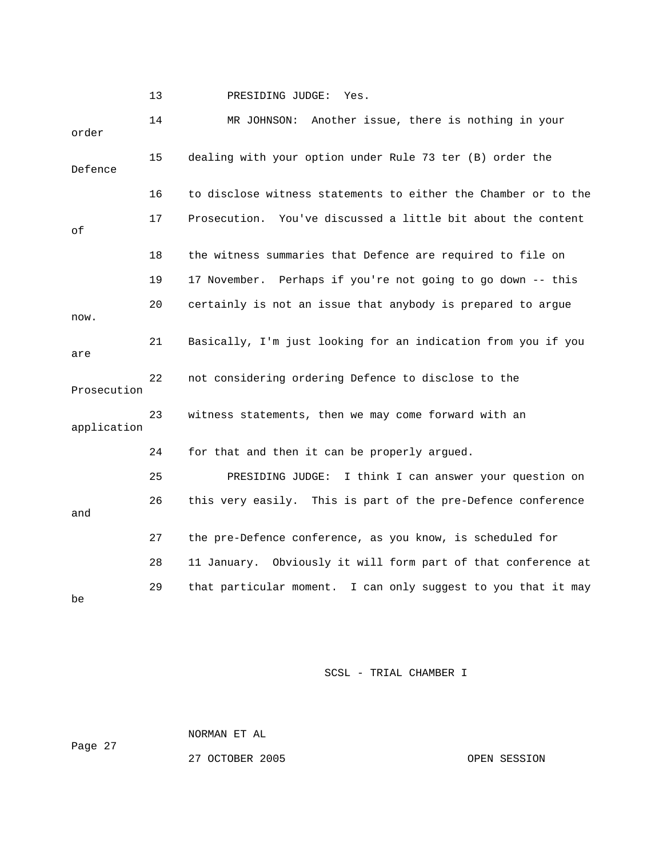13 PRESIDING JUDGE: Yes.

 14 MR JOHNSON: Another issue, there is nothing in your order 15 dealing with your option under Rule 73 ter (B) order the Defence 16 to disclose witness statements to either the Chamber or to the 17 Prosecution. You've discussed a little bit about the content of 18 the witness summaries that Defence are required to file on 19 17 November. Perhaps if you're not going to go down -- this 20 certainly is not an issue that anybody is prepared to argue now. 21 Basically, I'm just looking for an indication from you if you are 22 not considering ordering Defence to disclose to the Prosecution 23 witness statements, then we may come forward with an application 24 for that and then it can be properly argued. 25 PRESIDING JUDGE: I think I can answer your question on 26 this very easily. This is part of the pre-Defence conference and 27 the pre-Defence conference, as you know, is scheduled for 28 11 January. Obviously it will form part of that conference at 29 that particular moment. I can only suggest to you that it may be

SCSL - TRIAL CHAMBER I

 NORMAN ET AL Page 27

27 OCTOBER 2005 OPEN SESSION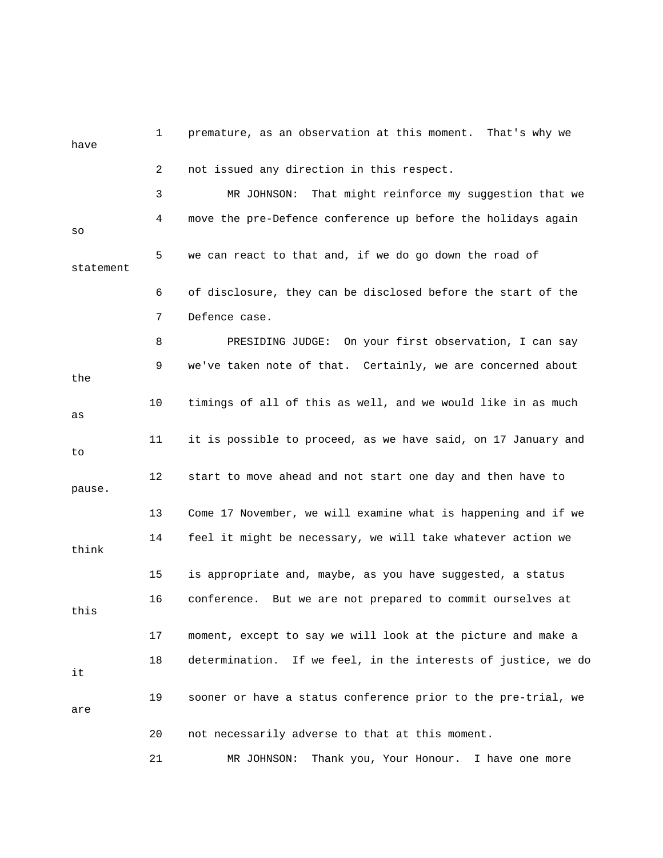| have      | 1  | premature, as an observation at this moment. That's why we    |
|-----------|----|---------------------------------------------------------------|
|           | 2  | not issued any direction in this respect.                     |
|           | 3  | That might reinforce my suggestion that we<br>MR JOHNSON:     |
| SO        | 4  | move the pre-Defence conference up before the holidays again  |
| statement | 5  | we can react to that and, if we do go down the road of        |
|           | 6  | of disclosure, they can be disclosed before the start of the  |
|           | 7  | Defence case.                                                 |
|           | 8  | PRESIDING JUDGE: On your first observation, I can say         |
| the       | 9  | we've taken note of that. Certainly, we are concerned about   |
| as        | 10 | timings of all of this as well, and we would like in as much  |
| to        | 11 | it is possible to proceed, as we have said, on 17 January and |
| pause.    | 12 | start to move ahead and not start one day and then have to    |
|           | 13 | Come 17 November, we will examine what is happening and if we |
| think     | 14 | feel it might be necessary, we will take whatever action we   |
|           | 15 | is appropriate and, maybe, as you have suggested, a status    |
| this      | 16 | conference. But we are not prepared to commit ourselves at    |
|           | 17 | moment, except to say we will look at the picture and make a  |
| it        | 18 | determination. If we feel, in the interests of justice, we do |
| are       | 19 | sooner or have a status conference prior to the pre-trial, we |
|           | 20 | not necessarily adverse to that at this moment.               |
|           | 21 | MR JOHNSON:<br>Thank you, Your Honour. I have one more        |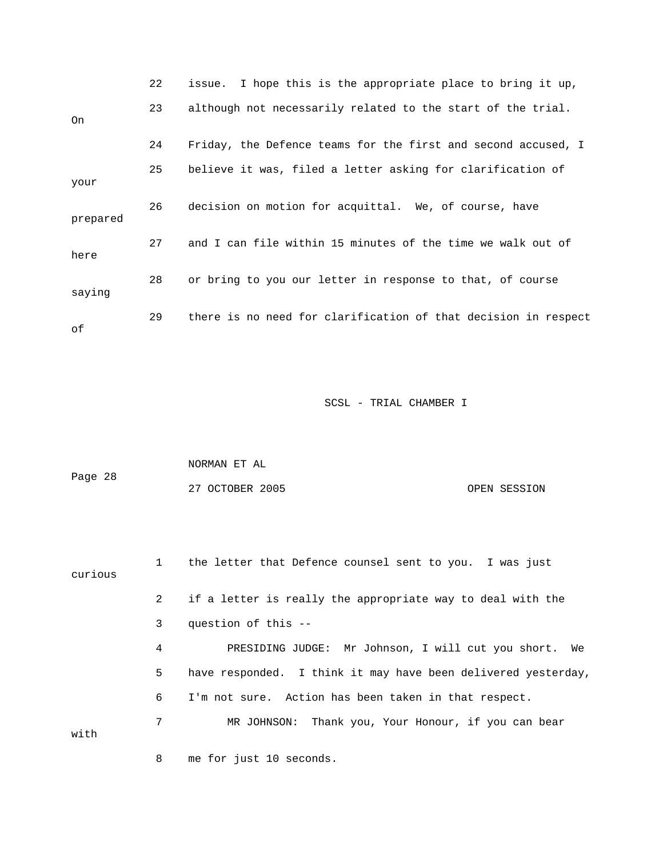|          | 22 | issue. I hope this is the appropriate place to bring it up,    |
|----------|----|----------------------------------------------------------------|
| On       | 23 | although not necessarily related to the start of the trial.    |
|          | 24 | Friday, the Defence teams for the first and second accused, I  |
| your     | 25 | believe it was, filed a letter asking for clarification of     |
| prepared | 26 | decision on motion for acquittal. We, of course, have          |
| here     | 27 | and I can file within 15 minutes of the time we walk out of    |
| saying   | 28 | or bring to you our letter in response to that, of course      |
| оf       | 29 | there is no need for clarification of that decision in respect |

|         | NORMAN ET AL    |              |
|---------|-----------------|--------------|
| Page 28 |                 |              |
|         | 27 OCTOBER 2005 | OPEN SESSION |

 1 the letter that Defence counsel sent to you. I was just curious 2 if a letter is really the appropriate way to deal with the 3 question of this -- 4 PRESIDING JUDGE: Mr Johnson, I will cut you short. We 5 have responded. I think it may have been delivered yesterday, 6 I'm not sure. Action has been taken in that respect. 7 MR JOHNSON: Thank you, Your Honour, if you can bear with 8 me for just 10 seconds.